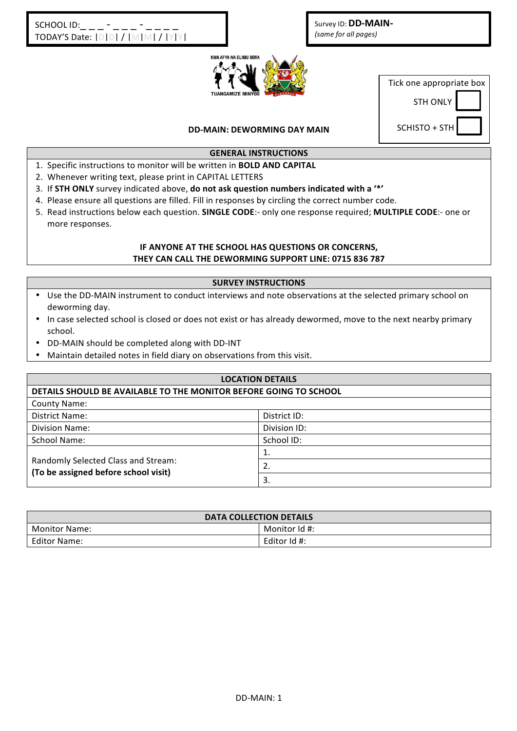Survey ID: **DD-MAIN-***(same for all pages)* 



Tick one appropriate box

**STH ONLY** 

**DD-MAIN: DEWORMING DAY MAIN** 

SCHISTO + STH

## **GENERAL INSTRUCTIONS**

- 1. Specific instructions to monitor will be written in **BOLD AND CAPITAL**
- 2. Whenever writing text, please print in CAPITAL LETTERS
- 3. If **STH ONLY** survey indicated above, do not ask question numbers indicated with a '\*'
- 4. Please ensure all questions are filled. Fill in responses by circling the correct number code.
- 5. Read instructions below each question. SINGLE CODE:- only one response required; MULTIPLE CODE:- one or more responses.

## **IF ANYONE AT THE SCHOOL HAS QUESTIONS OR CONCERNS,** THEY CAN CALL THE DEWORMING SUPPORT LINE: 0715 836 787

#### **SURVEY INSTRUCTIONS**

- Use the DD-MAIN instrument to conduct interviews and note observations at the selected primary school on deworming day.
- In case selected school is closed or does not exist or has already dewormed, move to the next nearby primary school.
- DD-MAIN should be completed along with DD-INT
- Maintain detailed notes in field diary on observations from this visit.

| <b>LOCATION DETAILS</b>                                                     |              |  |  |
|-----------------------------------------------------------------------------|--------------|--|--|
| DETAILS SHOULD BE AVAILABLE TO THE MONITOR BEFORE GOING TO SCHOOL           |              |  |  |
| <b>County Name:</b>                                                         |              |  |  |
| District Name:                                                              | District ID: |  |  |
| <b>Division Name:</b>                                                       | Division ID: |  |  |
| School Name:                                                                | School ID:   |  |  |
|                                                                             | 1.           |  |  |
| Randomly Selected Class and Stream:<br>(To be assigned before school visit) | 2.           |  |  |
|                                                                             | 3.           |  |  |

| <b>DATA COLLECTION DETAILS</b> |               |  |  |
|--------------------------------|---------------|--|--|
| <b>Monitor Name:</b>           | Monitor Id #: |  |  |
| Editor Name:                   | Editor Id #:  |  |  |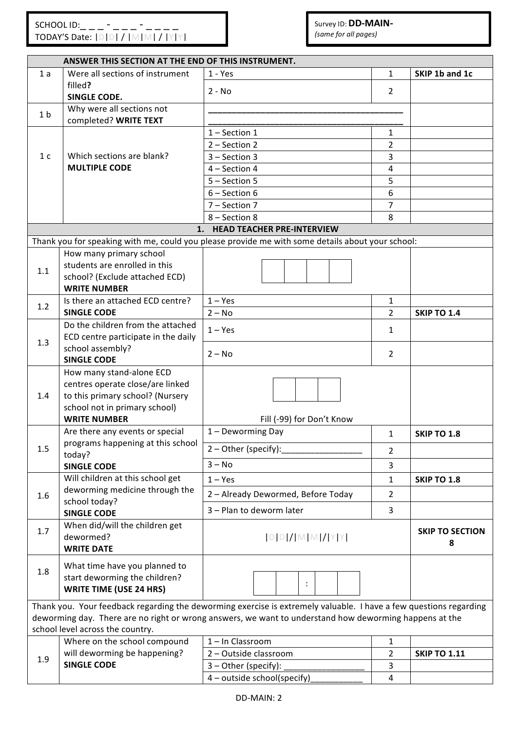|                | ANSWER THIS SECTION AT THE END OF THIS INSTRUMENT.                       |                                                                                                                   |                |                             |  |  |
|----------------|--------------------------------------------------------------------------|-------------------------------------------------------------------------------------------------------------------|----------------|-----------------------------|--|--|
| 1a             | Were all sections of instrument                                          | $1 - Yes$                                                                                                         | $\mathbf{1}$   | SKIP 1b and 1c              |  |  |
|                | filled?                                                                  | $2 - No$                                                                                                          | $\overline{2}$ |                             |  |  |
|                | <b>SINGLE CODE.</b>                                                      |                                                                                                                   |                |                             |  |  |
| 1 <sub>b</sub> | Why were all sections not                                                |                                                                                                                   |                |                             |  |  |
|                | completed? WRITE TEXT                                                    |                                                                                                                   |                |                             |  |  |
|                |                                                                          | $1 - Section 1$<br>2 - Section 2                                                                                  | 1<br>2         |                             |  |  |
| 1 <sub>c</sub> | Which sections are blank?                                                | $3 - Section 3$                                                                                                   | 3              |                             |  |  |
|                | <b>MULTIPLE CODE</b>                                                     | 4 - Section 4                                                                                                     | $\overline{4}$ |                             |  |  |
|                |                                                                          | 5 - Section 5                                                                                                     | 5              |                             |  |  |
|                |                                                                          | $6 -$ Section 6                                                                                                   | 6              |                             |  |  |
|                |                                                                          | 7 - Section 7                                                                                                     | $\overline{7}$ |                             |  |  |
|                |                                                                          | 8 - Section 8                                                                                                     | 8              |                             |  |  |
|                |                                                                          | 1. HEAD TEACHER PRE-INTERVIEW                                                                                     |                |                             |  |  |
|                |                                                                          | Thank you for speaking with me, could you please provide me with some details about your school:                  |                |                             |  |  |
|                | How many primary school                                                  |                                                                                                                   |                |                             |  |  |
| 1.1            | students are enrolled in this                                            |                                                                                                                   |                |                             |  |  |
|                | school? (Exclude attached ECD)                                           |                                                                                                                   |                |                             |  |  |
|                | <b>WRITE NUMBER</b>                                                      |                                                                                                                   |                |                             |  |  |
| 1.2            | Is there an attached ECD centre?                                         | $1 - Yes$                                                                                                         | 1              |                             |  |  |
|                | <b>SINGLE CODE</b>                                                       | $2 - No$                                                                                                          | $\overline{2}$ | <b>SKIP TO 1.4</b>          |  |  |
|                | Do the children from the attached<br>ECD centre participate in the daily | $1 - Yes$                                                                                                         | 1              |                             |  |  |
| 1.3            | school assembly?                                                         |                                                                                                                   |                |                             |  |  |
|                | <b>SINGLE CODE</b>                                                       | $2 - No$                                                                                                          | $\overline{2}$ |                             |  |  |
|                | How many stand-alone ECD                                                 |                                                                                                                   |                |                             |  |  |
|                | centres operate close/are linked                                         |                                                                                                                   |                |                             |  |  |
| 1.4            | to this primary school? (Nursery                                         |                                                                                                                   |                |                             |  |  |
|                | school not in primary school)                                            |                                                                                                                   |                |                             |  |  |
|                | <b>WRITE NUMBER</b>                                                      | Fill (-99) for Don't Know                                                                                         |                |                             |  |  |
|                | Are there any events or special                                          | 1 - Deworming Day                                                                                                 | 1              | <b>SKIP TO 1.8</b>          |  |  |
| 1.5            | programs happening at this school                                        | $2 - Other (specific):$                                                                                           | $\overline{2}$ |                             |  |  |
|                | today?<br><b>SINGLE CODE</b>                                             | $3 - No$                                                                                                          | 3              |                             |  |  |
|                | Will children at this school get                                         | $1 - Yes$                                                                                                         |                |                             |  |  |
|                | deworming medicine through the                                           |                                                                                                                   | $\mathbf{1}$   | <b>SKIP TO 1.8</b>          |  |  |
| 1.6            | school today?                                                            | 2 - Already Dewormed, Before Today                                                                                | $\overline{2}$ |                             |  |  |
|                | <b>SINGLE CODE</b>                                                       | 3 - Plan to deworm later                                                                                          | 3              |                             |  |  |
| 1.7            | When did/will the children get                                           |                                                                                                                   |                |                             |  |  |
|                | dewormed?                                                                | $[D]D]/[M]M]/[Y[Y]$                                                                                               |                | <b>SKIP TO SECTION</b><br>8 |  |  |
|                | <b>WRITE DATE</b>                                                        |                                                                                                                   |                |                             |  |  |
|                | What time have you planned to                                            |                                                                                                                   |                |                             |  |  |
| 1.8            | start deworming the children?                                            |                                                                                                                   |                |                             |  |  |
|                | <b>WRITE TIME (USE 24 HRS)</b>                                           |                                                                                                                   |                |                             |  |  |
|                |                                                                          | Thank you. Your feedback regarding the deworming exercise is extremely valuable. I have a few questions regarding |                |                             |  |  |
|                |                                                                          | deworming day. There are no right or wrong answers, we want to understand how deworming happens at the            |                |                             |  |  |
|                | school level across the country.                                         |                                                                                                                   |                |                             |  |  |
|                | Where on the school compound                                             | 1-In Classroom                                                                                                    | 1              |                             |  |  |
| 1.9            | will deworming be happening?                                             | 2 - Outside classroom                                                                                             | $\overline{2}$ | <b>SKIP TO 1.11</b>         |  |  |
|                | <b>SINGLE CODE</b>                                                       | 3 - Other (specify):                                                                                              | 3              |                             |  |  |
|                |                                                                          | 4 - outside school(specify)                                                                                       | $\overline{4}$ |                             |  |  |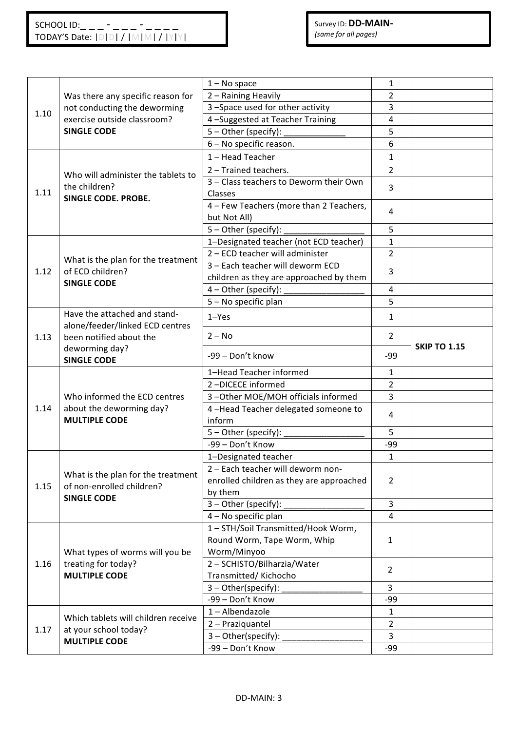|      |                                                                 | $1 - No space$                                          | 1                       |                     |
|------|-----------------------------------------------------------------|---------------------------------------------------------|-------------------------|---------------------|
|      | Was there any specific reason for                               | 2 - Raining Heavily                                     | 2                       |                     |
|      | not conducting the deworming                                    | 3-Space used for other activity                         | 3                       |                     |
| 1.10 | exercise outside classroom?<br><b>SINGLE CODE</b>               | 4-Suggested at Teacher Training                         | 4                       |                     |
|      |                                                                 | 5 - Other (specify):                                    | 5                       |                     |
|      |                                                                 | 6 - No specific reason.                                 | 6                       |                     |
|      |                                                                 | 1-Head Teacher                                          | $\mathbf{1}$            |                     |
|      |                                                                 | 2 - Trained teachers.                                   | $\overline{2}$          |                     |
|      | Who will administer the tablets to                              | 3 - Class teachers to Deworm their Own                  |                         |                     |
| 1.11 | the children?<br><b>SINGLE CODE. PROBE.</b>                     | Classes                                                 | 3                       |                     |
|      |                                                                 | 4 - Few Teachers (more than 2 Teachers,<br>but Not All) | 4                       |                     |
|      |                                                                 | 5 - Other (specify):                                    | 5                       |                     |
|      |                                                                 | 1-Designated teacher (not ECD teacher)                  | $\mathbf{1}$            |                     |
|      | What is the plan for the treatment                              | 2 - ECD teacher will administer                         | $\overline{2}$          |                     |
| 1.12 | of ECD children?                                                | 3 - Each teacher will deworm ECD                        | 3                       |                     |
|      | <b>SINGLE CODE</b>                                              | children as they are approached by them                 |                         |                     |
|      |                                                                 | $4$ – Other (specify):                                  | 4                       |                     |
|      |                                                                 | 5 - No specific plan                                    | 5                       |                     |
|      | Have the attached and stand-<br>alone/feeder/linked ECD centres | $1 - Yes$                                               | $\mathbf{1}$            |                     |
| 1.13 | been notified about the<br>deworming day?<br><b>SINGLE CODE</b> | $2 - No$                                                | 2                       | <b>SKIP TO 1.15</b> |
|      |                                                                 | -99 - Don't know                                        | -99                     |                     |
|      |                                                                 | 1-Head Teacher informed                                 | 1                       |                     |
|      |                                                                 | 2-DICECE informed                                       | $\overline{2}$          |                     |
|      | Who informed the ECD centres                                    | 3-Other MOE/MOH officials informed                      | 3                       |                     |
| 1.14 | about the deworming day?                                        | 4-Head Teacher delegated someone to                     | 4                       |                     |
|      | <b>MULTIPLE CODE</b>                                            | inform                                                  |                         |                     |
|      |                                                                 | 5 - Other (specify):                                    | 5                       |                     |
|      |                                                                 | -99 - Don't Know                                        | $-99$                   |                     |
|      |                                                                 | 1-Designated teacher                                    | $\mathbf{1}$            |                     |
|      | What is the plan for the treatment                              | 2 - Each teacher will deworm non-                       |                         |                     |
| 1.15 |                                                                 |                                                         |                         |                     |
|      |                                                                 | enrolled children as they are approached                | 2                       |                     |
|      | of non-enrolled children?<br><b>SINGLE CODE</b>                 | by them                                                 |                         |                     |
|      |                                                                 | $3$ – Other (specify):                                  | $\overline{3}$          |                     |
|      |                                                                 | 4 - No specific plan                                    | 4                       |                     |
|      |                                                                 | 1-STH/Soil Transmitted/Hook Worm,                       |                         |                     |
|      |                                                                 | Round Worm, Tape Worm, Whip                             | 1                       |                     |
|      | What types of worms will you be                                 | Worm/Minyoo                                             |                         |                     |
| 1.16 | treating for today?                                             | 2 - SCHISTO/Bilharzia/Water                             | $\overline{2}$          |                     |
|      | <b>MULTIPLE CODE</b>                                            | Transmitted/Kichocho                                    |                         |                     |
|      |                                                                 | 3 - Other(specify):                                     | $\overline{3}$          |                     |
|      |                                                                 | -99 - Don't Know                                        | -99                     |                     |
|      | Which tablets will children receive                             | 1-Albendazole                                           | $\mathbf{1}$            |                     |
| 1.17 | at your school today?                                           | 2 - Praziquantel                                        | 2                       |                     |
|      | <b>MULTIPLE CODE</b>                                            | 3-Other(specify):<br>-99 - Don't Know                   | $\overline{3}$<br>$-99$ |                     |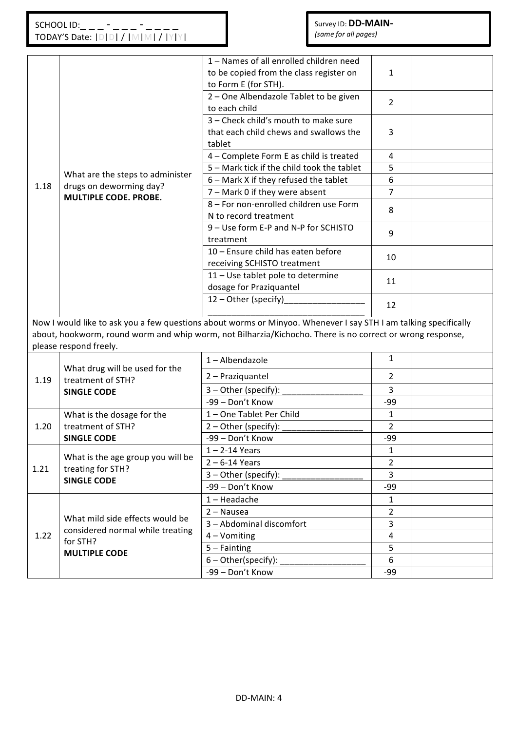|      |                                   | 1 - Names of all enrolled children need                                                                         |                                                                                                           |  |  |  |  |
|------|-----------------------------------|-----------------------------------------------------------------------------------------------------------------|-----------------------------------------------------------------------------------------------------------|--|--|--|--|
|      |                                   | to be copied from the class register on                                                                         | $\mathbf{1}$                                                                                              |  |  |  |  |
|      |                                   | to Form E (for STH).                                                                                            |                                                                                                           |  |  |  |  |
|      |                                   | 2 - One Albendazole Tablet to be given                                                                          | $\overline{2}$                                                                                            |  |  |  |  |
|      |                                   | to each child                                                                                                   |                                                                                                           |  |  |  |  |
|      |                                   | 3 - Check child's mouth to make sure                                                                            |                                                                                                           |  |  |  |  |
|      |                                   | that each child chews and swallows the                                                                          | 3                                                                                                         |  |  |  |  |
|      |                                   | tablet                                                                                                          |                                                                                                           |  |  |  |  |
|      |                                   | 4 - Complete Form E as child is treated                                                                         | 4                                                                                                         |  |  |  |  |
|      | What are the steps to administer  | 5 - Mark tick if the child took the tablet                                                                      | 5                                                                                                         |  |  |  |  |
| 1.18 | drugs on deworming day?           | 6 - Mark X if they refused the tablet                                                                           | 6                                                                                                         |  |  |  |  |
|      | MULTIPLE CODE. PROBE.             | 7 - Mark 0 if they were absent                                                                                  | 7                                                                                                         |  |  |  |  |
|      |                                   | 8 - For non-enrolled children use Form                                                                          | 8                                                                                                         |  |  |  |  |
|      |                                   | N to record treatment                                                                                           |                                                                                                           |  |  |  |  |
|      |                                   | 9 - Use form E-P and N-P for SCHISTO                                                                            | 9                                                                                                         |  |  |  |  |
|      |                                   | treatment                                                                                                       |                                                                                                           |  |  |  |  |
|      |                                   | 10 - Ensure child has eaten before                                                                              | 10                                                                                                        |  |  |  |  |
|      |                                   | receiving SCHISTO treatment                                                                                     |                                                                                                           |  |  |  |  |
|      |                                   | 11 - Use tablet pole to determine                                                                               | 11                                                                                                        |  |  |  |  |
|      |                                   | dosage for Praziquantel                                                                                         |                                                                                                           |  |  |  |  |
|      |                                   | 12 - Other (specify)                                                                                            | 12                                                                                                        |  |  |  |  |
|      |                                   |                                                                                                                 |                                                                                                           |  |  |  |  |
|      |                                   | Now I would like to ask you a few questions about worms or Minyoo. Whenever I say STH I am talking specifically |                                                                                                           |  |  |  |  |
|      |                                   |                                                                                                                 | about, hookworm, round worm and whip worm, not Bilharzia/Kichocho. There is no correct or wrong response, |  |  |  |  |
|      |                                   |                                                                                                                 |                                                                                                           |  |  |  |  |
|      | please respond freely.            |                                                                                                                 |                                                                                                           |  |  |  |  |
|      |                                   | 1-Albendazole                                                                                                   | $\mathbf{1}$                                                                                              |  |  |  |  |
|      | What drug will be used for the    | 2 - Praziquantel                                                                                                | 2                                                                                                         |  |  |  |  |
| 1.19 | treatment of STH?                 | 3 - Other (specify):                                                                                            | 3                                                                                                         |  |  |  |  |
|      | <b>SINGLE CODE</b>                | -99 - Don't Know                                                                                                | -99                                                                                                       |  |  |  |  |
|      | What is the dosage for the        | 1-One Tablet Per Child                                                                                          | $\mathbf{1}$                                                                                              |  |  |  |  |
| 1.20 | treatment of STH?                 | 2 - Other (specify):                                                                                            | $\overline{2}$                                                                                            |  |  |  |  |
|      | <b>SINGLE CODE</b>                | -99 - Don't Know                                                                                                | $-99$                                                                                                     |  |  |  |  |
|      |                                   | $1 - 2 - 14$ Years                                                                                              | 1                                                                                                         |  |  |  |  |
|      | What is the age group you will be | $2 - 6 - 14$ Years                                                                                              | $\overline{2}$                                                                                            |  |  |  |  |
| 1.21 | treating for STH?                 | 3 - Other (specify):                                                                                            | $\overline{3}$                                                                                            |  |  |  |  |
|      | <b>SINGLE CODE</b>                | -99 - Don't Know                                                                                                | -99                                                                                                       |  |  |  |  |
|      |                                   | $1 -$ Headache                                                                                                  | $\mathbf{1}$                                                                                              |  |  |  |  |
|      |                                   | 2 - Nausea                                                                                                      | $\overline{2}$                                                                                            |  |  |  |  |
|      | What mild side effects would be   | 3 - Abdominal discomfort                                                                                        | 3                                                                                                         |  |  |  |  |
| 1.22 | considered normal while treating  | 4 - Vomiting                                                                                                    | $\overline{4}$                                                                                            |  |  |  |  |
|      | for STH?                          | $5 - Fainting$                                                                                                  | 5                                                                                                         |  |  |  |  |
|      | <b>MULTIPLE CODE</b>              | $6 - Other(specify)$ :                                                                                          | 6                                                                                                         |  |  |  |  |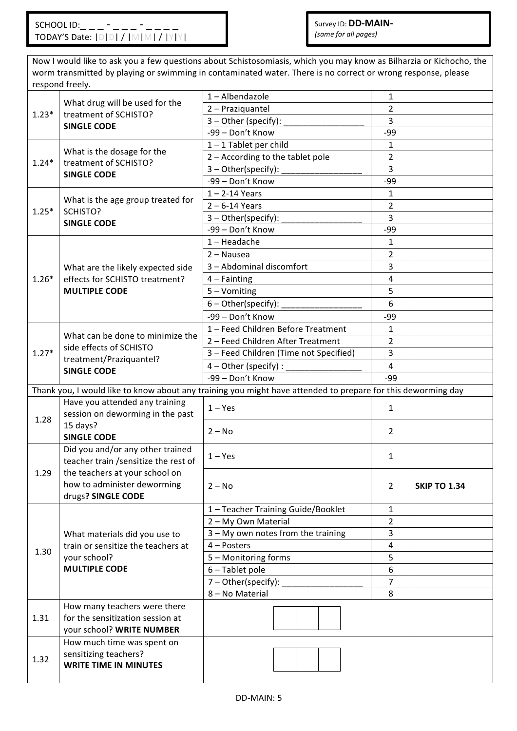TODAY'S Date: |D|D| / |M|M| / |Y|Y| Now I would like to ask you a few questions about Schistosomiasis, which you may know as Bilharzia or Kichocho, the worm transmitted by playing or swimming in contaminated water. There is no correct or wrong response, please respond freely. 1.23\* What drug will be used for the treatment of SCHISTO? **SINGLE CODE** 1 – Albendazole 1 2 – Praziquantel 2 3 – Other (specify): \_\_\_\_\_\_\_\_\_\_\_\_\_\_\_\_\_ 3 -99 – Don't Know Fig. 1991 1.24\* What is the dosage for the treatment of SCHISTO? **SINGLE CODE**  $1 - 1$  Tablet per child  $1 - 1$  $2 -$  According to the tablet pole 2  $3$  – Other(specify):  $\qquad \qquad \qquad$  3  $-99 - Don't Know$   $-99$ 1.25\* What is the age group treated for SCHISTO? **SINGLE CODE**  $1 - 2 - 14$  Years 1  $2 - 6 - 14$  Years 2 3 – Other(specify): \_\_\_\_\_\_\_\_\_\_\_\_\_\_\_\_\_ 3 -99 – Don't Know **199 – 199 – 199 – 199 – 199 – 199 – 199 – 19** 1.26\* What are the likely expected side effects for SCHISTO treatment? **MULTIPLE CODE**  $1 -$ Headache  $1 -$ 2 – Nausea 2 3 – Abdominal discomfort 3  $4 -$ Fainting 4  $5 - V$ omiting  $\begin{array}{|c|c|c|c|c|} \hline 5 & 5 \end{array}$  $6$  – Other(specify):  $\qquad \qquad \begin{array}{c} \hline \end{array}$  6 -99 – Don't Know **199 – 199 – 199 – 199 – 199 – 199 – 199 – 19** 1.27\* What can be done to minimize the side effects of SCHISTO treatment/Praziquantel? **SINGLE CODE** 1 – Feed Children Before Treatment 1 2 – Feed Children After Treatment 2  $3$  – Feed Children (Time not Specified)  $\begin{vmatrix} 3 & 3 \\ 3 & 3 \end{vmatrix}$  $4$  – Other (specify) :  $\begin{vmatrix} 4 & 4 \\ 4 & 4 \end{vmatrix}$ -99 – Don't Know **199 – 199 – 199 – 199 – 199 – 199 – 199 – 19** Thank you, I would like to know about any training you might have attended to prepare for this deworming day

| 1.28 | Have you attended any training<br>session on deworming in the past                            | $1 - Yes$                          | 1              |                     |
|------|-----------------------------------------------------------------------------------------------|------------------------------------|----------------|---------------------|
|      | 15 days?<br><b>SINGLE CODE</b>                                                                | $2 - No$                           | $\overline{2}$ |                     |
|      | Did you and/or any other trained<br>teacher train / sensitize the rest of                     | $1 - Yes$                          | 1              |                     |
| 1.29 | the teachers at your school on<br>how to administer deworming<br>drugs? SINGLE CODE           | $2 - No$                           | $\overline{2}$ | <b>SKIP TO 1.34</b> |
|      |                                                                                               | 1 - Teacher Training Guide/Booklet | $\mathbf{1}$   |                     |
|      |                                                                                               | 2 - My Own Material                | $\overline{2}$ |                     |
|      | What materials did you use to                                                                 | 3 - My own notes from the training | 3              |                     |
| 1.30 | train or sensitize the teachers at                                                            | $4 -$ Posters                      | 4              |                     |
|      | your school?                                                                                  | 5 - Monitoring forms               | 5              |                     |
|      | <b>MULTIPLE CODE</b>                                                                          | 6 - Tablet pole                    | 6              |                     |
|      |                                                                                               | $7 - Other(specify):$              | 7              |                     |
|      |                                                                                               | 8 - No Material                    | 8              |                     |
| 1.31 | How many teachers were there<br>for the sensitization session at<br>your school? WRITE NUMBER |                                    |                |                     |
| 1.32 | How much time was spent on<br>sensitizing teachers?<br><b>WRITE TIME IN MINUTES</b>           |                                    |                |                     |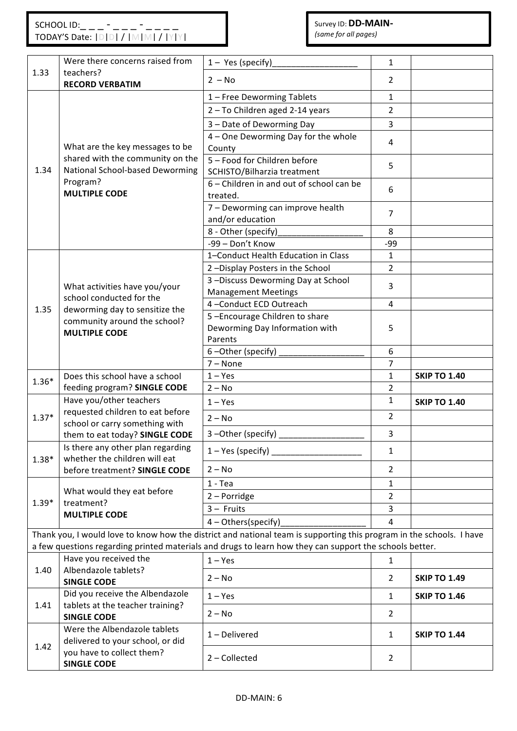|         | Were there concerns raised from                                    |                                                                                                                      |                |                     |
|---------|--------------------------------------------------------------------|----------------------------------------------------------------------------------------------------------------------|----------------|---------------------|
| 1.33    | teachers?                                                          | $1 - Yes$ (specify)                                                                                                  | $\mathbf{1}$   |                     |
|         | <b>RECORD VERBATIM</b>                                             | $2 - No$                                                                                                             | $\overline{2}$ |                     |
|         |                                                                    | 1 - Free Deworming Tablets                                                                                           | 1              |                     |
|         |                                                                    | 2 - To Children aged 2-14 years                                                                                      | $\overline{2}$ |                     |
|         | What are the key messages to be                                    | 3 - Date of Deworming Day                                                                                            | $\overline{3}$ |                     |
|         |                                                                    | 4 - One Deworming Day for the whole                                                                                  |                |                     |
|         |                                                                    | County                                                                                                               | 4              |                     |
|         | shared with the community on the                                   | 5 - Food for Children before                                                                                         |                |                     |
| 1.34    | National School-based Deworming                                    | SCHISTO/Bilharzia treatment                                                                                          | 5              |                     |
|         | Program?                                                           | 6 - Children in and out of school can be                                                                             | 6              |                     |
|         | <b>MULTIPLE CODE</b>                                               | treated.                                                                                                             |                |                     |
|         |                                                                    | 7 - Deworming can improve health                                                                                     | $\overline{7}$ |                     |
|         |                                                                    | and/or education                                                                                                     |                |                     |
|         |                                                                    | 8 - Other (specify)                                                                                                  | 8              |                     |
|         |                                                                    | -99 - Don't Know                                                                                                     | $-99$          |                     |
|         |                                                                    | 1-Conduct Health Education in Class                                                                                  | $\mathbf{1}$   |                     |
|         |                                                                    | 2-Display Posters in the School                                                                                      | $\overline{2}$ |                     |
|         | What activities have you/your                                      | 3-Discuss Deworming Day at School                                                                                    | 3              |                     |
|         | school conducted for the                                           | <b>Management Meetings</b>                                                                                           |                |                     |
| 1.35    | deworming day to sensitize the                                     | 4-Conduct ECD Outreach                                                                                               | 4              |                     |
|         | community around the school?<br><b>MULTIPLE CODE</b>               | 5-Encourage Children to share                                                                                        |                |                     |
|         |                                                                    | Deworming Day Information with<br>Parents                                                                            | 5              |                     |
|         |                                                                    | 6-Other (specify)                                                                                                    | 6              |                     |
|         |                                                                    | $7 - None$                                                                                                           | $\overline{7}$ |                     |
|         | Does this school have a school                                     | $1 - Yes$                                                                                                            | $\mathbf{1}$   | <b>SKIP TO 1.40</b> |
| $1.36*$ | feeding program? SINGLE CODE                                       | $2 - No$                                                                                                             | $\overline{2}$ |                     |
|         | Have you/other teachers                                            | $1 - Yes$                                                                                                            | $\mathbf{1}$   | <b>SKIP TO 1.40</b> |
| $1.37*$ | requested children to eat before                                   | $2 - No$                                                                                                             | $\overline{2}$ |                     |
|         | school or carry something with                                     |                                                                                                                      |                |                     |
|         | them to eat today? SINGLE CODE                                     | 3-Other (specify)                                                                                                    | $\overline{3}$ |                     |
| $1.38*$ | Is there any other plan regarding<br>whether the children will eat | $1 - Yes$ (specify)                                                                                                  | $\mathbf{1}$   |                     |
|         | before treatment? SINGLE CODE                                      | $2 - No$                                                                                                             | $\overline{2}$ |                     |
|         |                                                                    | $1 - Tea$                                                                                                            | 1              |                     |
| $1.39*$ | What would they eat before<br>treatment?                           | 2 - Porridge                                                                                                         | $\overline{2}$ |                     |
|         | <b>MULTIPLE CODE</b>                                               | $3 -$ Fruits                                                                                                         | 3              |                     |
|         |                                                                    | 4 - Others(specify)                                                                                                  | 4              |                     |
|         |                                                                    | Thank you, I would love to know how the district and national team is supporting this program in the schools. I have |                |                     |
|         |                                                                    | a few questions regarding printed materials and drugs to learn how they can support the schools better.              |                |                     |
|         | Have you received the                                              | $1 - Yes$                                                                                                            | $\mathbf{1}$   |                     |
| 1.40    | Albendazole tablets?                                               | $2 - No$                                                                                                             | $\overline{2}$ | <b>SKIP TO 1.49</b> |
|         | <b>SINGLE CODE</b>                                                 |                                                                                                                      |                |                     |
| 1.41    | Did you receive the Albendazole                                    | $1 - Yes$                                                                                                            | $\mathbf{1}$   | <b>SKIP TO 1.46</b> |
|         | tablets at the teacher training?<br><b>SINGLE CODE</b>             | $2 - No$                                                                                                             | $\overline{2}$ |                     |
|         | Were the Albendazole tablets                                       | 1-Delivered                                                                                                          | $\mathbf{1}$   | <b>SKIP TO 1.44</b> |
| 1.42    | delivered to your school, or did                                   |                                                                                                                      |                |                     |
|         | you have to collect them?<br><b>SINGLE CODE</b>                    | 2 - Collected                                                                                                        | $\overline{2}$ |                     |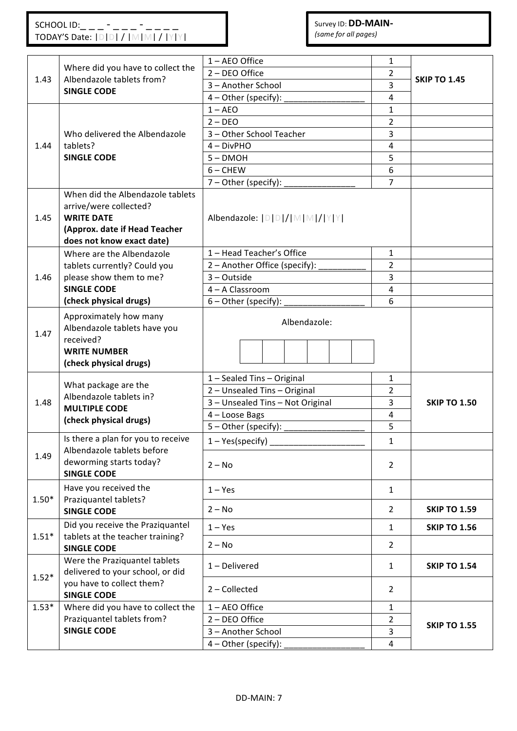|         | Where did you have to collect the                                 | 1 - AEO Office                   | $\mathbf{1}$   |                     |
|---------|-------------------------------------------------------------------|----------------------------------|----------------|---------------------|
| 1.43    | Albendazole tablets from?                                         | 2 - DEO Office                   | $\overline{2}$ | <b>SKIP TO 1.45</b> |
|         | <b>SINGLE CODE</b>                                                | 3 - Another School               | 3              |                     |
|         |                                                                   | $4$ – Other (specify):           | 4              |                     |
|         |                                                                   | $1 - AEO$                        | $\mathbf{1}$   |                     |
|         |                                                                   | $2 - DEO$                        | $\overline{2}$ |                     |
|         | Who delivered the Albendazole                                     | 3 - Other School Teacher         | $\overline{3}$ |                     |
| 1.44    | tablets?                                                          | $4 - DivPHO$                     | $\pmb{4}$      |                     |
|         | <b>SINGLE CODE</b>                                                | $5 - DMOH$                       | 5              |                     |
|         |                                                                   | $6 -$ CHEW                       | 6              |                     |
|         |                                                                   | $7$ – Other (specify):           | $\overline{7}$ |                     |
|         | When did the Albendazole tablets                                  |                                  |                |                     |
|         | arrive/were collected?                                            |                                  |                |                     |
| 1.45    | <b>WRITE DATE</b>                                                 | Albendazole:  D D / M M / Y Y    |                |                     |
|         | (Approx. date if Head Teacher                                     |                                  |                |                     |
|         | does not know exact date)                                         |                                  |                |                     |
|         | Where are the Albendazole                                         | 1 - Head Teacher's Office        | $\mathbf{1}$   |                     |
|         | tablets currently? Could you                                      | 2 - Another Office (specify):    | $\overline{2}$ |                     |
| 1.46    | please show them to me?                                           | 3 - Outside                      | 3              |                     |
|         | <b>SINGLE CODE</b>                                                | 4 - A Classroom                  | $\overline{4}$ |                     |
|         | (check physical drugs)                                            | $6 -$ Other (specify):           | 6              |                     |
| 1.47    | Approximately how many<br>Albendazole tablets have you            | Albendazole:                     |                |                     |
|         | received?                                                         |                                  |                |                     |
|         | <b>WRITE NUMBER</b>                                               |                                  |                |                     |
|         | (check physical drugs)                                            |                                  |                |                     |
|         | What package are the                                              | 1 - Sealed Tins - Original       | $\mathbf{1}$   |                     |
|         | Albendazole tablets in?                                           | 2 - Unsealed Tins - Original     | 2              |                     |
| 1.48    | <b>MULTIPLE CODE</b>                                              | 3 - Unsealed Tins - Not Original | 3              | <b>SKIP TO 1.50</b> |
|         | (check physical drugs)                                            | 4 - Loose Bags                   | $\overline{4}$ |                     |
|         |                                                                   | 5 - Other (specify):             | 5              |                     |
|         | Is there a plan for you to receive                                | $1 - Yes(specify)$               | 1              |                     |
| 1.49    | Albendazole tablets before<br>deworming starts today?             | $2 - No$                         | $\overline{2}$ |                     |
|         | <b>SINGLE CODE</b><br>Have you received the                       | $1 - Yes$                        | $\mathbf{1}$   |                     |
| $1.50*$ | Praziquantel tablets?<br><b>SINGLE CODE</b>                       | $2 - No$                         | $\overline{2}$ | <b>SKIP TO 1.59</b> |
|         | Did you receive the Praziquantel                                  | $1 - Yes$                        | $\mathbf{1}$   | <b>SKIP TO 1.56</b> |
| $1.51*$ | tablets at the teacher training?<br><b>SINGLE CODE</b>            | $2 - No$                         | $\overline{2}$ |                     |
| $1.52*$ | Were the Praziquantel tablets<br>delivered to your school, or did | 1-Delivered                      | $\mathbf{1}$   | <b>SKIP TO 1.54</b> |
|         | you have to collect them?<br><b>SINGLE CODE</b>                   | 2 - Collected                    | $\overline{2}$ |                     |
| $1.53*$ | Where did you have to collect the                                 | 1 - AEO Office                   | $\mathbf{1}$   |                     |
|         | Praziquantel tablets from?                                        | 2 - DEO Office                   | $\overline{2}$ |                     |
|         | <b>SINGLE CODE</b>                                                | 3 - Another School               | $\overline{3}$ | <b>SKIP TO 1.55</b> |
|         |                                                                   | 4 - Other (specify):             | $\overline{4}$ |                     |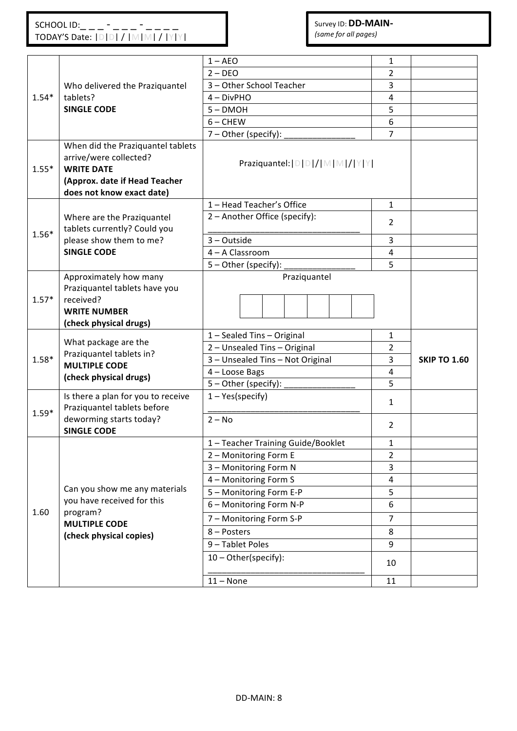|         |                                                                                                                                                | $1 - AEO$                                     | 1                       |                     |
|---------|------------------------------------------------------------------------------------------------------------------------------------------------|-----------------------------------------------|-------------------------|---------------------|
|         |                                                                                                                                                | $2 - DEO$                                     | $\overline{2}$          |                     |
|         | Who delivered the Praziquantel                                                                                                                 | 3 - Other School Teacher                      | 3                       |                     |
| $1.54*$ | tablets?                                                                                                                                       | $4 - DivPHO$                                  | 4                       |                     |
|         | <b>SINGLE CODE</b>                                                                                                                             | $5 - DMOH$                                    | 5                       |                     |
|         |                                                                                                                                                | $6 -$ CHEW                                    | 6                       |                     |
|         |                                                                                                                                                | $7 - Other (specific):$                       | $\overline{7}$          |                     |
| $1.55*$ | When did the Praziquantel tablets<br>arrive/were collected?<br><b>WRITE DATE</b><br>(Approx. date if Head Teacher<br>does not know exact date) | Praziquantel:   D   D   /   M   M   /   Y   Y |                         |                     |
|         |                                                                                                                                                | 1 - Head Teacher's Office                     | $\mathbf{1}$            |                     |
| $1.56*$ | Where are the Praziquantel<br>tablets currently? Could you                                                                                     | 2 - Another Office (specify):                 | 2                       |                     |
|         | please show them to me?                                                                                                                        | $3 - Outside$                                 | 3                       |                     |
|         | <b>SINGLE CODE</b>                                                                                                                             | 4 - A Classroom                               | $\overline{\mathbf{4}}$ |                     |
|         |                                                                                                                                                | 5 - Other (specify):                          | 5                       |                     |
| $1.57*$ | Approximately how many<br>Praziquantel tablets have you<br>received?<br><b>WRITE NUMBER</b><br>(check physical drugs)                          | Praziquantel                                  |                         |                     |
|         |                                                                                                                                                | 1 - Sealed Tins - Original                    | $\mathbf{1}$            |                     |
|         | What package are the<br>Praziquantel tablets in?                                                                                               | 2 - Unsealed Tins - Original                  | 2                       |                     |
| $1.58*$ | <b>MULTIPLE CODE</b>                                                                                                                           | 3 - Unsealed Tins - Not Original              | 3                       | <b>SKIP TO 1.60</b> |
|         | (check physical drugs)                                                                                                                         | 4 - Loose Bags                                | 4                       |                     |
|         |                                                                                                                                                | 5 - Other (specify):                          | 5                       |                     |
| $1.59*$ | Is there a plan for you to receive<br>Praziquantel tablets before                                                                              | $1 - Yes(specify)$                            | 1                       |                     |
|         | deworming starts today?<br><b>SINGLE CODE</b>                                                                                                  | $2 - No$                                      | $\overline{2}$          |                     |
|         |                                                                                                                                                | 1 - Teacher Training Guide/Booklet            | $\mathbf 1$             |                     |
|         |                                                                                                                                                | 2 - Monitoring Form E                         | $\overline{2}$          |                     |
|         |                                                                                                                                                | 3 - Monitoring Form N                         | 3                       |                     |
|         | Can you show me any materials                                                                                                                  | 4 - Monitoring Form S                         | 4                       |                     |
|         | you have received for this                                                                                                                     | 5 - Monitoring Form E-P                       | 5                       |                     |
| 1.60    | program?                                                                                                                                       | 6 - Monitoring Form N-P                       | 6                       |                     |
|         | <b>MULTIPLE CODE</b>                                                                                                                           | 7 - Monitoring Form S-P                       | $\overline{7}$          |                     |
|         | (check physical copies)                                                                                                                        | 8 - Posters                                   | 8                       |                     |
|         |                                                                                                                                                | 9 - Tablet Poles                              | 9                       |                     |
|         |                                                                                                                                                | 10 - Other(specify):                          | 10                      |                     |
|         |                                                                                                                                                | $11 - None$                                   | 11                      |                     |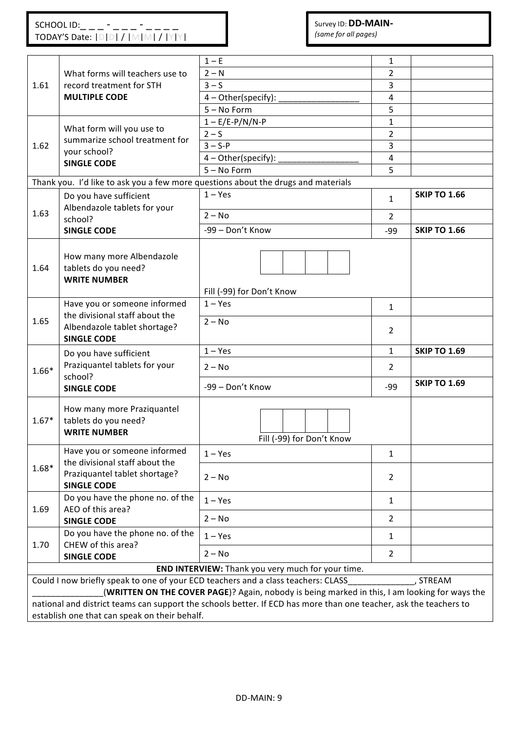|         |                                                                           | $1-E$                                                                                                             | 1              |                     |  |  |
|---------|---------------------------------------------------------------------------|-------------------------------------------------------------------------------------------------------------------|----------------|---------------------|--|--|
|         | What forms will teachers use to                                           | $2 - N$                                                                                                           | $\overline{2}$ |                     |  |  |
| 1.61    | record treatment for STH                                                  | $3 - S$                                                                                                           | 3              |                     |  |  |
|         | <b>MULTIPLE CODE</b>                                                      | 4 - Other(specify):                                                                                               | 4              |                     |  |  |
|         |                                                                           | $5 - No Form$                                                                                                     | 5              |                     |  |  |
|         |                                                                           | $1 - E/E-P/N/N-P$                                                                                                 | $\mathbf{1}$   |                     |  |  |
|         | What form will you use to                                                 | $2-S$                                                                                                             | $\overline{2}$ |                     |  |  |
| 1.62    | summarize school treatment for                                            | $3 - S - P$                                                                                                       | 3              |                     |  |  |
|         | your school?                                                              | 4 - Other(specify):                                                                                               | 4              |                     |  |  |
|         | <b>SINGLE CODE</b>                                                        | $5 - No Form$                                                                                                     | 5              |                     |  |  |
|         |                                                                           | Thank you. I'd like to ask you a few more questions about the drugs and materials                                 |                |                     |  |  |
|         |                                                                           | $1 - Yes$                                                                                                         |                | <b>SKIP TO 1.66</b> |  |  |
|         | Do you have sufficient                                                    |                                                                                                                   | $\mathbf{1}$   |                     |  |  |
| 1.63    | Albendazole tablets for your                                              | $2 - No$                                                                                                          | $\overline{2}$ |                     |  |  |
|         | school?                                                                   | -99 - Don't Know                                                                                                  |                | <b>SKIP TO 1.66</b> |  |  |
|         | <b>SINGLE CODE</b>                                                        |                                                                                                                   | $-99$          |                     |  |  |
| 1.64    | How many more Albendazole<br>tablets do you need?<br><b>WRITE NUMBER</b>  |                                                                                                                   |                |                     |  |  |
|         |                                                                           | Fill (-99) for Don't Know                                                                                         |                |                     |  |  |
|         | Have you or someone informed                                              | $1 - Yes$                                                                                                         |                |                     |  |  |
|         | the divisional staff about the                                            |                                                                                                                   | 1              |                     |  |  |
| 1.65    | Albendazole tablet shortage?<br><b>SINGLE CODE</b>                        | $2 - No$                                                                                                          | 2              |                     |  |  |
|         | Do you have sufficient                                                    | $1 - Yes$                                                                                                         | $\mathbf{1}$   | <b>SKIP TO 1.69</b> |  |  |
| $1.66*$ | Praziquantel tablets for your<br>school?                                  | $2 - No$                                                                                                          | $\overline{2}$ |                     |  |  |
|         | <b>SINGLE CODE</b>                                                        | -99 - Don't Know                                                                                                  | -99            | <b>SKIP TO 1.69</b> |  |  |
| $1.67*$ | How many more Praziquantel<br>tablets do you need?<br><b>WRITE NUMBER</b> | Fill (-99) for Don't Know                                                                                         |                |                     |  |  |
|         | Have you or someone informed<br>the divisional staff about the            | $1 - Yes$                                                                                                         | 1              |                     |  |  |
| $1.68*$ | Praziquantel tablet shortage?<br><b>SINGLE CODE</b>                       | $2 - No$                                                                                                          | $\overline{2}$ |                     |  |  |
|         | Do you have the phone no. of the                                          | $1 - Yes$                                                                                                         | $\mathbf{1}$   |                     |  |  |
| 1.69    | AEO of this area?<br><b>SINGLE CODE</b>                                   | $2 - No$                                                                                                          | $\overline{2}$ |                     |  |  |
| 1.70    | Do you have the phone no. of the<br>CHEW of this area?                    | $1 - Yes$                                                                                                         | 1              |                     |  |  |
|         | <b>SINGLE CODE</b>                                                        | $2 - No$                                                                                                          | $\overline{2}$ |                     |  |  |
|         |                                                                           | END INTERVIEW: Thank you very much for your time.                                                                 |                |                     |  |  |
|         |                                                                           | Could I now briefly speak to one of your ECD teachers and a class teachers: CLASS                                 |                | , STREAM            |  |  |
|         |                                                                           | (WRITTEN ON THE COVER PAGE)? Again, nobody is being marked in this, I am looking for ways the                     |                |                     |  |  |
|         |                                                                           | national and district teams can support the schools better. If ECD has more than one teacher, ask the teachers to |                |                     |  |  |
|         | establish one that can speak on their behalf.                             |                                                                                                                   |                |                     |  |  |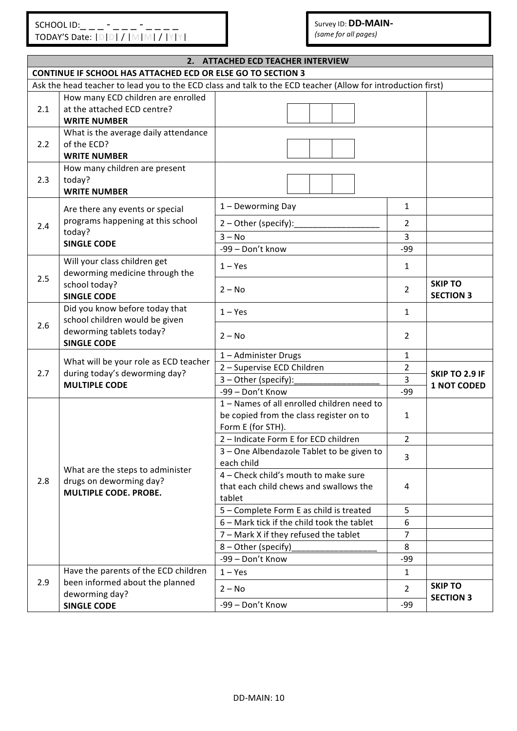*(same for all pages)* 

|     | 2. ATTACHED ECD TEACHER INTERVIEW                                          |                                                                                                              |                |                                    |  |
|-----|----------------------------------------------------------------------------|--------------------------------------------------------------------------------------------------------------|----------------|------------------------------------|--|
|     | <b>CONTINUE IF SCHOOL HAS ATTACHED ECD OR ELSE GO TO SECTION 3</b>         |                                                                                                              |                |                                    |  |
|     |                                                                            | Ask the head teacher to lead you to the ECD class and talk to the ECD teacher (Allow for introduction first) |                |                                    |  |
|     | How many ECD children are enrolled                                         |                                                                                                              |                |                                    |  |
| 2.1 | at the attached ECD centre?<br><b>WRITE NUMBER</b>                         |                                                                                                              |                |                                    |  |
| 2.2 | What is the average daily attendance<br>of the ECD?<br><b>WRITE NUMBER</b> |                                                                                                              |                |                                    |  |
| 2.3 | How many children are present<br>today?<br><b>WRITE NUMBER</b>             |                                                                                                              |                |                                    |  |
|     | Are there any events or special                                            | 1 - Deworming Day                                                                                            | $\mathbf{1}$   |                                    |  |
| 2.4 | programs happening at this school                                          | $2 -$ Other (specify):                                                                                       | 2              |                                    |  |
|     | today?                                                                     | $3 - No$                                                                                                     | 3              |                                    |  |
|     | <b>SINGLE CODE</b>                                                         | -99 - Don't know                                                                                             | -99            |                                    |  |
|     | Will your class children get<br>deworming medicine through the             | $1 - Yes$                                                                                                    | $\mathbf{1}$   |                                    |  |
| 2.5 | school today?<br><b>SINGLE CODE</b>                                        | $2 - No$                                                                                                     | 2              | <b>SKIP TO</b><br><b>SECTION 3</b> |  |
|     | Did you know before today that<br>school children would be given           | $1 - Yes$                                                                                                    | $\mathbf{1}$   |                                    |  |
| 2.6 | deworming tablets today?<br><b>SINGLE CODE</b>                             | $2 - No$                                                                                                     | $\overline{2}$ |                                    |  |
|     | What will be your role as ECD teacher                                      | 1-Administer Drugs                                                                                           | $\mathbf{1}$   |                                    |  |
| 2.7 | during today's deworming day?<br><b>MULTIPLE CODE</b>                      | 2 - Supervise ECD Children                                                                                   | $\overline{2}$ | SKIP TO 2.9 IF                     |  |
|     |                                                                            | 3 - Other (specify):                                                                                         | 3              | <b>1 NOT CODED</b>                 |  |
|     |                                                                            | -99 - Don't Know                                                                                             | -99            |                                    |  |
|     |                                                                            | 1 - Names of all enrolled children need to<br>be copied from the class register on to<br>Form E (for STH).   | 1              |                                    |  |
|     |                                                                            | 2 - Indicate Form E for ECD children                                                                         | $\overline{2}$ |                                    |  |
|     | What are the steps to administer                                           | 3 - One Albendazole Tablet to be given to<br>each child                                                      | 3              |                                    |  |
| 2.8 | drugs on deworming day?<br><b>MULTIPLE CODE. PROBE.</b>                    | 4 - Check child's mouth to make sure<br>that each child chews and swallows the<br>tablet                     | 4              |                                    |  |
|     |                                                                            | 5 - Complete Form E as child is treated                                                                      | 5              |                                    |  |
|     |                                                                            | 6 - Mark tick if the child took the tablet                                                                   | 6              |                                    |  |
|     |                                                                            | 7 - Mark X if they refused the tablet                                                                        | $\overline{7}$ |                                    |  |
|     |                                                                            | 8 - Other (specify)                                                                                          | 8              |                                    |  |
|     |                                                                            | -99 - Don't Know                                                                                             | -99            |                                    |  |
|     | Have the parents of the ECD children                                       | $1 - Yes$                                                                                                    | $\mathbf{1}$   |                                    |  |
| 2.9 | been informed about the planned<br>deworming day?                          | $2 - No$                                                                                                     | 2              | <b>SKIP TO</b><br><b>SECTION 3</b> |  |
|     | <b>SINGLE CODE</b>                                                         | -99 - Don't Know                                                                                             | -99            |                                    |  |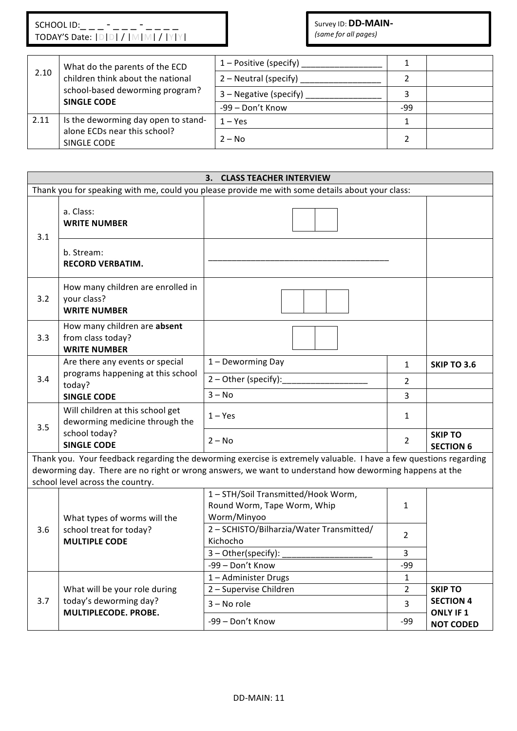#### Survey ID: **DD-MAIN-***(same for all pages)*

| What do the parents of the ECD<br>2.10<br>children think about the national |                                                       | $1 -$ Positive (specify) |     |  |
|-----------------------------------------------------------------------------|-------------------------------------------------------|--------------------------|-----|--|
|                                                                             | 2 – Neutral (specify)                                 |                          |     |  |
|                                                                             | school-based deworming program?<br><b>SINGLE CODE</b> | $3$ – Negative (specify) |     |  |
|                                                                             |                                                       | -99 - Don't Know         | -99 |  |
| 2.11                                                                        | Is the deworming day open to stand-                   | $1 - Yes$                |     |  |
|                                                                             | alone ECDs near this school?<br>SINGLE CODE           | $2 - No$                 |     |  |

#### **3. CLASS TEACHER INTERVIEW** Thank you for speaking with me, could you please provide me with some details about your class: 3.1 a. Class: **WRITE NUMBER** b. Stream: **RECORD VERBATIM.** 3.2 How many children are enrolled in your class? **WRITE NUMBER** 3.3 How many children are **absent** from class today? **WRITE NUMBER** 3.4 Are there any events or special programs happening at this school today? **SINGLE CODE** 1 – Deworming Day 1 – SKIP TO 3.6 2 – Other (specify):\_\_\_\_\_\_\_\_\_\_\_\_\_\_\_\_\_\_ 2  $3 - No$  3 3.5 Will children at this school get deworming medicine through the school today? **SINGLE CODE**  $1 - Yes$  1  $2 - No$  **SKIP TO SECTION 6** Thank you. Your feedback regarding the deworming exercise is extremely valuable. I have a few questions regarding deworming day. There are no right or wrong answers, we want to understand how deworming happens at the school level across the country. 3.6 What types of worms will the school treat for today? **MULTIPLE CODE** 1 - STH/Soil Transmitted/Hook Worm, Round Worm, Tape Worm, Whip Worm/Minyoo 1 2 – SCHISTO/Bilharzia/Water Transmitted/ (2008) 3 – Other(specify): \_\_\_\_\_\_\_\_\_\_\_\_\_\_\_\_\_\_\_ 3  $-99 -$  Don't Know  $\vert$   $-99$ 3.7 What will be your role during today's deworming day? **MULTIPLECODE. PROBE.** 1 – Administer Drugs 1 2 – Supervise Children 2 – Supervise Children 2 – SKIP TO **SECTION 4**  $3 - No$  role  $3 -$

-99 – Don't Know The Research Service Service Service Service Service Service Service Service Service Service

**ONLY IF 1 NOT CODED**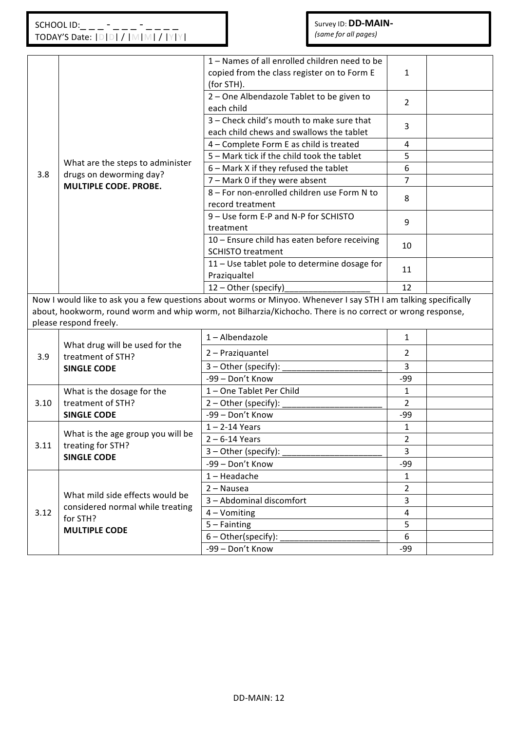|      |                                              | 1 - Names of all enrolled children need to be<br>copied from the class register on to Form E                    | 1              |  |
|------|----------------------------------------------|-----------------------------------------------------------------------------------------------------------------|----------------|--|
|      |                                              | (for STH).<br>2 - One Albendazole Tablet to be given to                                                         | $\overline{2}$ |  |
|      |                                              | each child                                                                                                      |                |  |
|      |                                              | 3 - Check child's mouth to make sure that                                                                       | 3              |  |
|      |                                              | each child chews and swallows the tablet                                                                        |                |  |
|      |                                              | 4 - Complete Form E as child is treated<br>5 - Mark tick if the child took the tablet                           | 4<br>5         |  |
|      | What are the steps to administer             | 6 - Mark X if they refused the tablet                                                                           | 6              |  |
| 3.8  | drugs on deworming day?                      | 7 - Mark 0 if they were absent                                                                                  | 7              |  |
|      | <b>MULTIPLE CODE. PROBE.</b>                 | 8 - For non-enrolled children use Form N to                                                                     |                |  |
|      |                                              | record treatment                                                                                                | 8              |  |
|      |                                              | 9 - Use form E-P and N-P for SCHISTO                                                                            |                |  |
|      |                                              | treatment                                                                                                       | 9              |  |
|      |                                              | 10 - Ensure child has eaten before receiving                                                                    |                |  |
|      |                                              | <b>SCHISTO treatment</b>                                                                                        | 10             |  |
|      |                                              | 11 - Use tablet pole to determine dosage for                                                                    |                |  |
|      |                                              | Praziqualtel                                                                                                    | 11             |  |
|      |                                              | 12 - Other (specify)                                                                                            | 12             |  |
|      |                                              | Now I would like to ask you a few questions about worms or Minyoo. Whenever I say STH I am talking specifically |                |  |
|      |                                              | about, hookworm, round worm and whip worm, not Bilharzia/Kichocho. There is no correct or wrong response,       |                |  |
|      | please respond freely.                       |                                                                                                                 |                |  |
|      | What drug will be used for the               | 1-Albendazole                                                                                                   | $\mathbf{1}$   |  |
| 3.9  | treatment of STH?                            | 2 - Praziquantel                                                                                                | $\overline{2}$ |  |
|      | <b>SINGLE CODE</b>                           | 3 - Other (specify):                                                                                            | 3              |  |
|      |                                              | -99 - Don't Know                                                                                                | -99            |  |
|      | What is the dosage for the                   | 1-One Tablet Per Child                                                                                          | $\mathbf{1}$   |  |
| 3.10 | treatment of STH?                            | $2 - Other (specific):$                                                                                         | $\overline{2}$ |  |
|      | <b>SINGLE CODE</b>                           | -99 - Don't Know                                                                                                | -99            |  |
|      |                                              | $1 - 2 - 14$ Years                                                                                              | $\mathbf{1}$   |  |
|      | What is the age group you will be            | $2 - 6 - 14$ Years                                                                                              | $\overline{2}$ |  |
| 3.11 | treating for STH?<br><b>SINGLE CODE</b>      | 3 - Other (specify):                                                                                            | 3              |  |
|      |                                              | -99 - Don't Know                                                                                                | -99            |  |
|      |                                              | $1 -$ Headache                                                                                                  | $\mathbf{1}$   |  |
|      |                                              | 2 - Nausea                                                                                                      | $\overline{2}$ |  |
|      | What mild side effects would be              | 3 - Abdominal discomfort                                                                                        | $\overline{3}$ |  |
| 3.12 | considered normal while treating<br>for STH? | 4 - Vomiting                                                                                                    | 4              |  |
|      | <b>MULTIPLE CODE</b>                         | $5 - Fainting$                                                                                                  | 5              |  |
|      |                                              | 6-Other(specify):                                                                                               | 6              |  |
|      |                                              | -99 - Don't Know                                                                                                | $-99$          |  |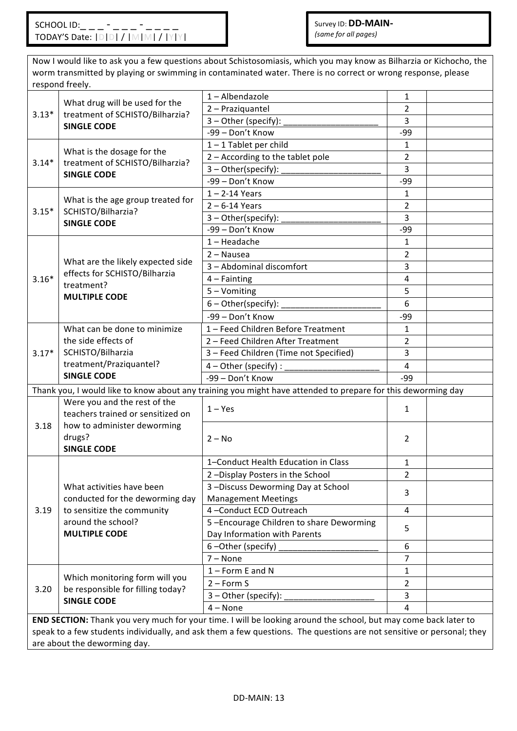Now I would like to ask you a few questions about Schistosomiasis, which you may know as Bilharzia or Kichocho, the worm transmitted by playing or swimming in contaminated water. There is no correct or wrong response, please respond freely.

| . <b>.</b> |                                                                                                                       |                                                                                                                 |                |  |  |  |  |  |  |
|------------|-----------------------------------------------------------------------------------------------------------------------|-----------------------------------------------------------------------------------------------------------------|----------------|--|--|--|--|--|--|
|            | What drug will be used for the                                                                                        | 1-Albendazole                                                                                                   | $\mathbf{1}$   |  |  |  |  |  |  |
| $3.13*$    | treatment of SCHISTO/Bilharzia?                                                                                       | 2 - Praziquantel                                                                                                | 2              |  |  |  |  |  |  |
|            | <b>SINGLE CODE</b>                                                                                                    | 3 - Other (specify):                                                                                            | $\overline{3}$ |  |  |  |  |  |  |
|            |                                                                                                                       | -99 - Don't Know                                                                                                | $-99$          |  |  |  |  |  |  |
|            | What is the dosage for the                                                                                            | $1 - 1$ Tablet per child                                                                                        | $\mathbf{1}$   |  |  |  |  |  |  |
| $3.14*$    | treatment of SCHISTO/Bilharzia?                                                                                       | 2 - According to the tablet pole                                                                                | $\overline{2}$ |  |  |  |  |  |  |
|            | <b>SINGLE CODE</b>                                                                                                    | 3 - Other(specify):                                                                                             | 3              |  |  |  |  |  |  |
|            |                                                                                                                       | -99 - Don't Know                                                                                                | $-99$          |  |  |  |  |  |  |
|            |                                                                                                                       | $1 - 2 - 14$ Years                                                                                              | $\mathbf{1}$   |  |  |  |  |  |  |
| $3.15*$    | What is the age group treated for<br>SCHISTO/Bilharzia?                                                               | $2 - 6 - 14$ Years                                                                                              | $\overline{2}$ |  |  |  |  |  |  |
|            | <b>SINGLE CODE</b>                                                                                                    | $3 - Other(specify):$                                                                                           | $\overline{3}$ |  |  |  |  |  |  |
|            |                                                                                                                       | -99 - Don't Know                                                                                                | $-99$          |  |  |  |  |  |  |
|            |                                                                                                                       | $1 -$ Headache                                                                                                  | $\mathbf{1}$   |  |  |  |  |  |  |
|            |                                                                                                                       | 2 - Nausea                                                                                                      | $\overline{2}$ |  |  |  |  |  |  |
|            | What are the likely expected side                                                                                     | 3 - Abdominal discomfort                                                                                        | $\overline{3}$ |  |  |  |  |  |  |
| $3.16*$    | effects for SCHISTO/Bilharzia                                                                                         | $4$ – Fainting                                                                                                  | $\overline{4}$ |  |  |  |  |  |  |
|            | treatment?<br><b>MULTIPLE CODE</b>                                                                                    | 5 - Vomiting                                                                                                    | 5              |  |  |  |  |  |  |
|            |                                                                                                                       | $6$ – Other(specify): $\_\_$                                                                                    | 6              |  |  |  |  |  |  |
|            |                                                                                                                       | -99 - Don't Know                                                                                                | $-99$          |  |  |  |  |  |  |
|            | What can be done to minimize                                                                                          | 1 - Feed Children Before Treatment                                                                              | $\mathbf{1}$   |  |  |  |  |  |  |
|            | the side effects of                                                                                                   | 2 - Feed Children After Treatment                                                                               | $\overline{2}$ |  |  |  |  |  |  |
| $3.17*$    | SCHISTO/Bilharzia                                                                                                     | 3 - Feed Children (Time not Specified)                                                                          | $\overline{3}$ |  |  |  |  |  |  |
|            | treatment/Praziquantel?                                                                                               | $4$ – Other (specify) :                                                                                         | 4              |  |  |  |  |  |  |
|            | <b>SINGLE CODE</b>                                                                                                    | -99 - Don't Know                                                                                                | -99            |  |  |  |  |  |  |
|            |                                                                                                                       | Thank you, I would like to know about any training you might have attended to prepare for this deworming day    |                |  |  |  |  |  |  |
|            | Were you and the rest of the                                                                                          |                                                                                                                 |                |  |  |  |  |  |  |
|            | teachers trained or sensitized on                                                                                     | $1 - Yes$                                                                                                       | $\mathbf{1}$   |  |  |  |  |  |  |
| 3.18       | how to administer deworming                                                                                           |                                                                                                                 |                |  |  |  |  |  |  |
|            | drugs?                                                                                                                | $2 - No$                                                                                                        | $\overline{2}$ |  |  |  |  |  |  |
|            | <b>SINGLE CODE</b>                                                                                                    |                                                                                                                 |                |  |  |  |  |  |  |
|            |                                                                                                                       | 1-Conduct Health Education in Class                                                                             | $\mathbf{1}$   |  |  |  |  |  |  |
|            |                                                                                                                       | 2-Display Posters in the School                                                                                 | $\overline{2}$ |  |  |  |  |  |  |
|            | What activities have been                                                                                             | 3-Discuss Deworming Day at School                                                                               |                |  |  |  |  |  |  |
|            | conducted for the deworming day                                                                                       | <b>Management Meetings</b>                                                                                      | 3              |  |  |  |  |  |  |
| 3.19       | to sensitize the community                                                                                            | 4-Conduct ECD Outreach                                                                                          | $\overline{4}$ |  |  |  |  |  |  |
|            | around the school?                                                                                                    | 5-Encourage Children to share Deworming                                                                         |                |  |  |  |  |  |  |
|            | <b>MULTIPLE CODE</b>                                                                                                  | Day Information with Parents                                                                                    | 5              |  |  |  |  |  |  |
|            |                                                                                                                       | 6-Other (specify)                                                                                               | 6              |  |  |  |  |  |  |
|            |                                                                                                                       | $7 - None$                                                                                                      | 7              |  |  |  |  |  |  |
|            |                                                                                                                       | $1 -$ Form E and N                                                                                              | $\mathbf{1}$   |  |  |  |  |  |  |
|            | Which monitoring form will you                                                                                        | $2 - Form S$                                                                                                    | $\overline{2}$ |  |  |  |  |  |  |
| 3.20       | be responsible for filling today?                                                                                     | 3 - Other (specify):                                                                                            | 3              |  |  |  |  |  |  |
|            | <b>SINGLE CODE</b>                                                                                                    | $4 - None$                                                                                                      | 4              |  |  |  |  |  |  |
|            |                                                                                                                       | END SECTION: Thank you very much for your time. I will be looking around the school, but may come back later to |                |  |  |  |  |  |  |
|            | speak to a few students individually, and ask them a few questions. The questions are not sensitive or personal; they |                                                                                                                 |                |  |  |  |  |  |  |

are about the deworming day.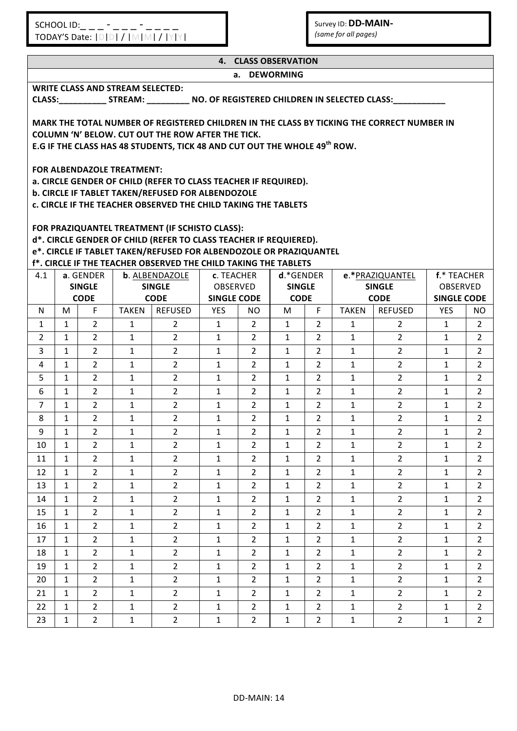Survey ID: **DD-MAIN-***(same for all pages)* 

|                | <b>4. CLASS OBSERVATION</b>                                                                                                                            |                   |                                         |                                                                    |                         |                |              |                                               |              |                                                                                                      |                                  |                 |
|----------------|--------------------------------------------------------------------------------------------------------------------------------------------------------|-------------------|-----------------------------------------|--------------------------------------------------------------------|-------------------------|----------------|--------------|-----------------------------------------------|--------------|------------------------------------------------------------------------------------------------------|----------------------------------|-----------------|
|                | a. DEWORMING                                                                                                                                           |                   |                                         |                                                                    |                         |                |              |                                               |              |                                                                                                      |                                  |                 |
|                |                                                                                                                                                        |                   | <b>WRITE CLASS AND STREAM SELECTED:</b> |                                                                    |                         |                |              |                                               |              |                                                                                                      |                                  |                 |
|                |                                                                                                                                                        |                   |                                         |                                                                    |                         |                |              |                                               |              | CLASS:_______________STREAM: ______________ NO. OF REGISTERED CHILDREN IN SELECTED CLASS: __________ |                                  |                 |
|                |                                                                                                                                                        |                   |                                         |                                                                    |                         |                |              |                                               |              |                                                                                                      |                                  |                 |
|                | MARK THE TOTAL NUMBER OF REGISTERED CHILDREN IN THE CLASS BY TICKING THE CORRECT NUMBER IN<br><b>COLUMN 'N' BELOW. CUT OUT THE ROW AFTER THE TICK.</b> |                   |                                         |                                                                    |                         |                |              |                                               |              |                                                                                                      |                                  |                 |
|                | E.G IF THE CLASS HAS 48 STUDENTS, TICK 48 AND CUT OUT THE WHOLE 49 <sup>th</sup> ROW.                                                                  |                   |                                         |                                                                    |                         |                |              |                                               |              |                                                                                                      |                                  |                 |
|                |                                                                                                                                                        |                   |                                         |                                                                    |                         |                |              |                                               |              |                                                                                                      |                                  |                 |
|                | FOR ALBENDAZOLE TREATMENT:                                                                                                                             |                   |                                         |                                                                    |                         |                |              |                                               |              |                                                                                                      |                                  |                 |
|                | a. CIRCLE GENDER OF CHILD (REFER TO CLASS TEACHER IF REQUIRED).                                                                                        |                   |                                         |                                                                    |                         |                |              |                                               |              |                                                                                                      |                                  |                 |
|                | b. CIRCLE IF TABLET TAKEN/REFUSED FOR ALBENDOZOLE<br>c. CIRCLE IF THE TEACHER OBSERVED THE CHILD TAKING THE TABLETS                                    |                   |                                         |                                                                    |                         |                |              |                                               |              |                                                                                                      |                                  |                 |
|                |                                                                                                                                                        |                   |                                         |                                                                    |                         |                |              |                                               |              |                                                                                                      |                                  |                 |
|                |                                                                                                                                                        |                   |                                         | FOR PRAZIQUANTEL TREATMENT (IF SCHISTO CLASS):                     |                         |                |              |                                               |              |                                                                                                      |                                  |                 |
|                |                                                                                                                                                        |                   |                                         | d*. CIRCLE GENDER OF CHILD (REFER TO CLASS TEACHER IF REQUIERED).  |                         |                |              |                                               |              |                                                                                                      |                                  |                 |
|                |                                                                                                                                                        |                   |                                         | e*. CIRCLE IF TABLET TAKEN/REFUSED FOR ALBENDOZOLE OR PRAZIQUANTEL |                         |                |              |                                               |              |                                                                                                      |                                  |                 |
|                |                                                                                                                                                        |                   |                                         | f*. CIRCLE IF THE TEACHER OBSERVED THE CHILD TAKING THE TABLETS    |                         |                |              |                                               |              |                                                                                                      |                                  |                 |
| 4.1            |                                                                                                                                                        | a. GENDER         |                                         | b. ALBENDAZOLE                                                     | c. TEACHER              |                | $d.*GENDER$  |                                               |              | e.*PRAZIQUANTEL                                                                                      | f.* TEACHER                      |                 |
|                |                                                                                                                                                        | <b>SINGLE</b>     |                                         | <b>SINGLE</b><br><b>CODE</b>                                       | OBSERVED<br>SINGLE CODE |                |              | <b>SINGLE</b><br><b>SINGLE</b><br><b>CODE</b> |              | <b>CODE</b>                                                                                          |                                  | <b>OBSERVED</b> |
| N.             | м                                                                                                                                                      | <b>CODE</b><br>F. | TAKEN                                   | REFUSED                                                            | <b>YES</b>              | NO.            | M            | F.                                            | <b>TAKEN</b> | <b>REFUSED</b>                                                                                       | <b>SINGLE CODE</b><br><b>YES</b> | NO.             |
| 1              | $\mathbf{1}$                                                                                                                                           | $\overline{2}$    | $\mathbf{1}$                            | $\overline{2}$                                                     | $\mathbf{1}$            | $2^{\circ}$    | $\mathbf{1}$ | $2^{\circ}$                                   | $\mathbf{1}$ | 2                                                                                                    | $\mathbf{1}$                     | $\overline{2}$  |
| $\overline{2}$ | $\mathbf{1}$                                                                                                                                           | $\overline{2}$    | $\mathbf{1}$                            | $\overline{2}$                                                     | $\mathbf{1}$            | $\overline{2}$ | $\mathbf{1}$ | $2^{\circ}$                                   | $\mathbf{1}$ | $\overline{2}$                                                                                       | $\mathbf{1}$                     | $\overline{2}$  |
| 3              | $\mathbf{1}$                                                                                                                                           | $\overline{2}$    | $\mathbf{1}$                            | $\overline{2}$                                                     | $\mathbf{1}$            | $\overline{2}$ | $\mathbf{1}$ | $\overline{2}$                                | $\mathbf{1}$ | $\overline{2}$                                                                                       | $\mathbf{1}$                     | $\overline{2}$  |
| 4              | $\mathbf{1}$                                                                                                                                           | $\overline{2}$    | $\mathbf{1}$                            | $\overline{2}$                                                     | $\mathbf{1}$            | $\overline{2}$ | $\mathbf{1}$ | $\overline{2}$                                | $\mathbf{1}$ | $\overline{2}$                                                                                       | $\mathbf{1}$                     | $\overline{2}$  |
| 5              | $\mathbf{1}$                                                                                                                                           | $2^{\circ}$       | $\mathbf{1}$                            | $2^{\circ}$                                                        | $\mathbf{1}$            | $\overline{2}$ | $\mathbf{1}$ | $2^{\circ}$                                   | $\mathbf{1}$ | $2^{\circ}$                                                                                          | $\mathbf{1}$                     | $2^{\circ}$     |
| 6              | $\mathbf{1}$                                                                                                                                           | $\overline{2}$    | $\mathbf{1}$                            | $\overline{2}$                                                     | $\mathbf{1}$            | $2^{\circ}$    | $\mathbf{1}$ | $\overline{2}$                                | $\mathbf{1}$ | $2^{\circ}$                                                                                          | $\mathbf{1}$                     | $2^{\circ}$     |
| $\overline{7}$ | $\mathbf{1}$                                                                                                                                           | $2^{\circ}$       | $\mathbf{1}$                            | $\overline{2}$                                                     | $\mathbf{1}$            | $\overline{2}$ | $\mathbf{1}$ | $\overline{2}$                                | $\mathbf{1}$ | $\overline{2}$                                                                                       | $\mathbf{1}$                     | $\overline{2}$  |
| 8              | $\mathbf{1}$                                                                                                                                           | $\overline{2}$    | $\mathbf{1}$                            | $\overline{2}$                                                     | $\mathbf{1}$            | $\overline{2}$ | $\mathbf{1}$ | $\overline{2}$                                | $\mathbf{1}$ | $\overline{2}$                                                                                       | $\mathbf{1}$                     | $\overline{2}$  |
| 9              | $\mathbf{1}$                                                                                                                                           | $\overline{2}$    | $\mathbf{1}$                            | $\overline{2}$                                                     | $\mathbf{1}$            | $\overline{2}$ | $\mathbf{1}$ | $2^{\circ}$                                   | $\mathbf{1}$ | $\overline{2}$                                                                                       | $\mathbf{1}$                     | $\overline{2}$  |
| 10             | 1                                                                                                                                                      | $\overline{2}$    | $\mathbf{1}$                            | $\overline{2}$                                                     | $\mathbf{1}$            | 2              | $\mathbf{1}$ | $\overline{2}$                                | $\mathbf{1}$ | $\overline{2}$                                                                                       | 1                                | $\overline{2}$  |
| 11             | $\mathbf{1}$                                                                                                                                           | $\overline{2}$    | $\mathbf{1}$                            | $\overline{2}$                                                     | $\mathbf{1}$            | $\overline{2}$ | $\mathbf{1}$ | $\overline{2}$                                | $\mathbf{1}$ | $\overline{2}$                                                                                       | $\mathbf{1}$                     | $\overline{2}$  |
| 12             | 1                                                                                                                                                      | $\overline{2}$    | $\mathbf{1}$                            | $\overline{2}$                                                     | $\mathbf{1}$            | $\overline{2}$ | $\mathbf{1}$ | $\overline{2}$                                | $\mathbf{1}$ | $\overline{2}$                                                                                       | 1                                | $\overline{2}$  |
| 13             | $\mathbf{1}$                                                                                                                                           | $\overline{2}$    | $\mathbf{1}$                            | $\overline{2}$                                                     | $\mathbf{1}$            | 2              | $\mathbf{1}$ | $\overline{2}$                                | $\mathbf{1}$ | $\overline{2}$                                                                                       | $\mathbf{1}$                     | $\overline{2}$  |
| 14             | $\mathbf{1}$                                                                                                                                           | $2^{\circ}$       | $\mathbf{1}$                            | $\overline{2}$                                                     | $\mathbf{1}$            | $\overline{2}$ | $\mathbf{1}$ | $2^{\circ}$                                   | $\mathbf{1}$ | $\overline{2}$                                                                                       | $\mathbf{1}$                     | $\overline{2}$  |
| 15             | $\mathbf{1}$                                                                                                                                           | $\overline{2}$    | $\mathbf{1}$                            | $\overline{2}$                                                     | $\mathbf{1}$            | $\overline{2}$ | $\mathbf{1}$ | $\overline{2}$                                | $\mathbf{1}$ | $\overline{2}$                                                                                       | 1                                | $\overline{2}$  |
| 16             | $\mathbf{1}$                                                                                                                                           | $2^{\circ}$       | $\mathbf{1}$                            | $\overline{2}$                                                     | $\mathbf{1}$            | 2              | $\mathbf{1}$ | $\overline{2}$                                | $\mathbf{1}$ | $\overline{2}$                                                                                       | $\mathbf{1}$                     | $\overline{2}$  |
| 17             | $\mathbf{1}$                                                                                                                                           | $2^{\circ}$       | $\mathbf{1}$                            | $2^{\circ}$                                                        | $\mathbf{1}$            | $\overline{2}$ | $\mathbf{1}$ | $2^{\circ}$                                   | $\mathbf{1}$ | $\overline{2}$                                                                                       | $\mathbf{1}$                     | $\overline{2}$  |
| 18             | $\mathbf{1}$                                                                                                                                           | $\overline{2}$    | $\mathbf{1}$                            | $\overline{2}$                                                     | $\mathbf{1}$            | $\overline{2}$ | $\mathbf{1}$ | $\overline{2}$                                | $\mathbf{1}$ | $2^{\circ}$                                                                                          | 1                                | $\overline{2}$  |
| 19             | $\mathbf{1}$                                                                                                                                           | $\overline{2}$    | $\mathbf{1}$                            | $\overline{2}$                                                     | $\mathbf{1}$            | $\overline{2}$ | $\mathbf{1}$ | $2^{\circ}$                                   | $\mathbf{1}$ | $\overline{2}$                                                                                       | $\mathbf{1}$                     | $\overline{2}$  |
| 20             | $\mathbf{1}$                                                                                                                                           | $\overline{2}$    | $\mathbf{1}$                            | $\overline{2}$                                                     | $\mathbf{1}$            | 2              | $\mathbf{1}$ | $\overline{2}$                                | $\mathbf{1}$ | $\overline{2}$                                                                                       | $\mathbf{1}$                     | $\overline{2}$  |
| 21             | $\mathbf{1}$                                                                                                                                           | $\overline{2}$    | $\mathbf{1}$                            | $2^{\circ}$                                                        | $\mathbf{1}$            | $\overline{2}$ | $\mathbf{1}$ | $2^{\circ}$                                   | $\mathbf{1}$ | $2^{\circ}$                                                                                          | 1                                | $\overline{2}$  |
| 22             | $\mathbf{1}$                                                                                                                                           | $\overline{2}$    | $\mathbf{1}$                            | $2^{\circ}$                                                        | $\mathbf{1}$            | $\overline{2}$ | $\mathbf{1}$ | $2^{\circ}$                                   | $\mathbf{1}$ | $2^{\circ}$                                                                                          | 1                                | $\overline{2}$  |
| 23             | $\mathbf{1}$                                                                                                                                           | $\overline{2}$    | $\mathbf{1}$                            | $\overline{2}$                                                     | $\mathbf{1}$            | $\overline{2}$ | $\mathbf{1}$ | $\overline{2}$                                | $\mathbf{1}$ | $\overline{2}$                                                                                       | $\mathbf{1}$                     | $\overline{2}$  |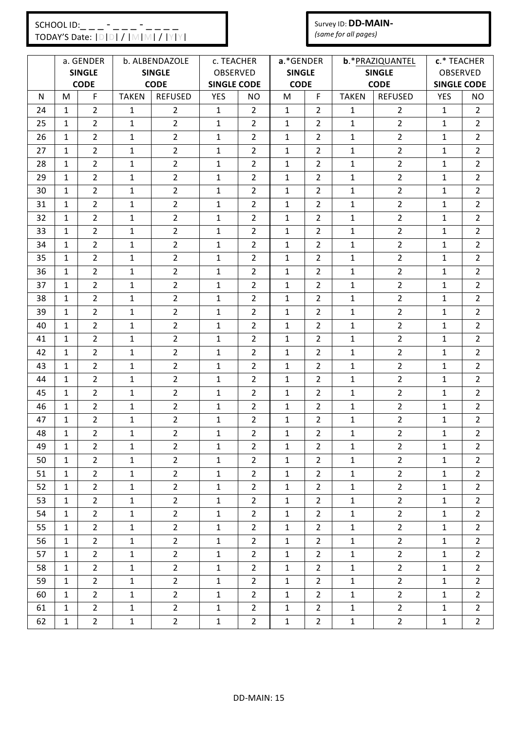#### Survey ID: **DD-MAIN-***(same for all pages)*

|    |              | a. GENDER      |              | b. ALBENDAZOLE | c. TEACHER         |                | a.*GENDER     |                |              | b.*PRAZIQUANTEL | c.* TEACHER        |                |
|----|--------------|----------------|--------------|----------------|--------------------|----------------|---------------|----------------|--------------|-----------------|--------------------|----------------|
|    |              | <b>SINGLE</b>  |              | <b>SINGLE</b>  | <b>OBSERVED</b>    |                | <b>SINGLE</b> |                |              | <b>SINGLE</b>   | <b>OBSERVED</b>    |                |
|    |              | <b>CODE</b>    |              | <b>CODE</b>    | <b>SINGLE CODE</b> |                | <b>CODE</b>   |                |              | <b>CODE</b>     | <b>SINGLE CODE</b> |                |
| N  | M            | F              | <b>TAKEN</b> | <b>REFUSED</b> | <b>YES</b>         | NO.            | M             | F              | <b>TAKEN</b> | <b>REFUSED</b>  | <b>YES</b>         | NO             |
| 24 | $\mathbf{1}$ | $\overline{2}$ | $\mathbf{1}$ | $\overline{2}$ | $\mathbf{1}$       | $\overline{2}$ | $\mathbf{1}$  | $\overline{2}$ | $\mathbf{1}$ | $\overline{2}$  | $\mathbf{1}$       | $\overline{2}$ |
| 25 | 1            | $\overline{2}$ | $\mathbf{1}$ | $\overline{2}$ | $\mathbf{1}$       | $\overline{2}$ | 1             | $\overline{2}$ | $\mathbf{1}$ | $\overline{2}$  | 1                  | 2              |
| 26 | 1            | $\overline{2}$ | $\mathbf{1}$ | $\overline{2}$ | $\mathbf{1}$       | $\overline{2}$ | $\mathbf{1}$  | $\overline{2}$ | $\mathbf{1}$ | $\overline{2}$  | $\mathbf{1}$       | $\overline{2}$ |
| 27 | 1            | $\overline{2}$ | $\mathbf{1}$ | $\overline{2}$ | $\mathbf{1}$       | 2              | $\mathbf{1}$  | 2              | $\mathbf{1}$ | $\overline{2}$  | 1                  | $\overline{2}$ |
| 28 | 1            | $\overline{2}$ | $\mathbf{1}$ | $\overline{2}$ | $\mathbf{1}$       | $\overline{2}$ | $\mathbf{1}$  | $\overline{2}$ | $\mathbf{1}$ | $\overline{2}$  | 1                  | $\overline{2}$ |
| 29 | $\mathbf{1}$ | $\overline{2}$ | $\mathbf{1}$ | $\overline{2}$ | $\mathbf{1}$       | $\overline{2}$ | $\mathbf{1}$  | $\overline{2}$ | $\mathbf{1}$ | $\overline{2}$  | $\mathbf{1}$       | $\overline{2}$ |
| 30 | 1            | $\overline{2}$ | $\mathbf{1}$ | $\overline{2}$ | $\mathbf{1}$       | $\overline{2}$ | $\mathbf{1}$  | $\overline{2}$ | $\mathbf{1}$ | $\overline{2}$  | $\mathbf{1}$       | $\overline{2}$ |
| 31 | 1            | $\overline{2}$ | 1            | $\overline{2}$ | 1                  | $\overline{2}$ | 1             | 2              | 1            | $\overline{2}$  | 1                  | 2              |
| 32 | $\mathbf{1}$ | $\overline{2}$ | $\mathbf{1}$ | $\overline{2}$ | $\mathbf{1}$       | $\overline{2}$ | $\mathbf{1}$  | $\overline{2}$ | $\mathbf{1}$ | $\overline{2}$  | $\mathbf{1}$       | $\overline{2}$ |
| 33 | 1            | $\overline{2}$ | $\mathbf{1}$ | $\overline{2}$ | $\mathbf{1}$       | $\overline{2}$ | $\mathbf{1}$  | $\overline{2}$ | $\mathbf{1}$ | $\overline{2}$  | $\mathbf{1}$       | $\overline{2}$ |
| 34 | 1            | $\overline{2}$ | 1            | $\overline{2}$ | 1                  | $\overline{2}$ | 1             | 2              | 1            | $\overline{2}$  | 1                  | 2              |
| 35 | 1            | $\overline{2}$ | $\mathbf{1}$ | $\overline{2}$ | $\mathbf{1}$       | $\overline{2}$ | $\mathbf{1}$  | 2              | $\mathbf{1}$ | $\overline{2}$  | 1                  | $\overline{2}$ |
| 36 | $\mathbf{1}$ | $\overline{2}$ | $\mathbf{1}$ | $\overline{2}$ | $\mathbf{1}$       | $\overline{2}$ | $\mathbf{1}$  | $\overline{2}$ | $\mathbf{1}$ | $\overline{2}$  | $\mathbf{1}$       | $\overline{2}$ |
| 37 | 1            | $\overline{2}$ | 1            | $\overline{2}$ | 1                  | $\overline{2}$ | 1             | 2              | 1            | $\overline{2}$  | 1                  | $\overline{2}$ |
| 38 | 1            | 2              | $\mathbf{1}$ | $\overline{2}$ | $\mathbf{1}$       | $\overline{2}$ | 1             | 2              | $\mathbf{1}$ | $\overline{2}$  | 1                  | 2              |
| 39 | $\mathbf{1}$ | $\overline{2}$ | $\mathbf{1}$ | $\overline{2}$ | $\mathbf{1}$       | $\overline{2}$ | $\mathbf{1}$  | 2              | $\mathbf{1}$ | $\overline{2}$  | $\mathbf{1}$       | $\overline{2}$ |
| 40 | 1            | $\overline{2}$ | $\mathbf{1}$ | $\overline{2}$ | $\mathbf{1}$       | $\overline{2}$ | $\mathbf{1}$  | $\overline{2}$ | $\mathbf{1}$ | $\overline{2}$  | 1                  | $\overline{2}$ |
| 41 | 1            | $\overline{2}$ | $\mathbf{1}$ | $\overline{2}$ | $\mathbf{1}$       | $\overline{2}$ | $\mathbf{1}$  | $\overline{2}$ | $\mathbf{1}$ | $\overline{2}$  | $\mathbf{1}$       | $\overline{2}$ |
| 42 | $\mathbf{1}$ | $\overline{2}$ | $\mathbf{1}$ | $\overline{2}$ | $\mathbf{1}$       | $\overline{2}$ | $\mathbf{1}$  | $\overline{2}$ | $\mathbf{1}$ | $\overline{2}$  | $\mathbf{1}$       | $\overline{2}$ |
| 43 | 1            | $\overline{2}$ | 1            | $\overline{2}$ | 1                  | $\overline{2}$ | 1             | 2              | 1            | $\overline{2}$  | 1                  | 2              |
| 44 | 1            | 2              | $\mathbf{1}$ | $\overline{2}$ | $\mathbf{1}$       | 2              | $\mathbf{1}$  | 2              | $\mathbf{1}$ | $\overline{2}$  | 1                  | $\overline{2}$ |
| 45 | $\mathbf{1}$ | $\overline{2}$ | $\mathbf{1}$ | $\overline{2}$ | $\mathbf{1}$       | $\overline{2}$ | $\mathbf{1}$  | $\overline{2}$ | $\mathbf{1}$ | $\overline{2}$  | $\mathbf{1}$       | $\overline{2}$ |
| 46 | 1            | $\overline{2}$ | 1            | $\overline{2}$ | $\mathbf{1}$       | $\overline{2}$ | 1             | $\overline{2}$ | 1            | $\overline{2}$  | 1                  | 2              |
| 47 | 1            | $\overline{2}$ | $\mathbf{1}$ | $\overline{2}$ | $\mathbf{1}$       | $\overline{2}$ | $\mathbf{1}$  | $\overline{2}$ | $\mathbf{1}$ | $\overline{2}$  | $\mathbf{1}$       | $\overline{2}$ |
| 48 | $\mathbf{1}$ | $\overline{2}$ | $\mathbf{1}$ | $\overline{2}$ | $\mathbf{1}$       | $\overline{2}$ | $\mathbf{1}$  | $\overline{2}$ | $\mathbf{1}$ | $\overline{2}$  | $\mathbf{1}$       | $\overline{2}$ |
| 49 | 1            | $\overline{2}$ | $\mathbf{1}$ | $\overline{2}$ | 1                  | $\overline{2}$ | 1             | $\overline{2}$ | $\mathbf{1}$ | $\overline{2}$  | 1                  | 2              |
| 50 | $\mathbf{1}$ | $\overline{2}$ | $\mathbf{1}$ | $\overline{2}$ | $\mathbf{1}$       | $\overline{2}$ | $\mathbf{1}$  | $\overline{2}$ | $\mathbf{1}$ | $\overline{2}$  | $\mathbf{1}$       | $\overline{2}$ |
| 51 | $\mathbf{1}$ | $\overline{2}$ | $\mathbf{1}$ | $\overline{2}$ | $\mathbf{1}$       | $\overline{2}$ | $\mathbf{1}$  | $\overline{2}$ | $\mathbf{1}$ | $\overline{2}$  | $\mathbf{1}$       | 2              |
| 52 | $\mathbf{1}$ | $\overline{2}$ | $\mathbf{1}$ | $\overline{2}$ | $\mathbf{1}$       | $\overline{2}$ | $\mathbf{1}$  | $\overline{2}$ | $\mathbf{1}$ | $\overline{2}$  | $\mathbf{1}$       | $\overline{2}$ |
| 53 | $\mathbf{1}$ | $\overline{2}$ | $\mathbf{1}$ | $\overline{2}$ | $\mathbf{1}$       | $\overline{2}$ | $\mathbf 1$   | $2^{\circ}$    | $\mathbf{1}$ | $\overline{2}$  | $1\,$              | $\overline{2}$ |
| 54 | $\mathbf{1}$ | $\overline{2}$ | $\mathbf{1}$ | $2^{\circ}$    | $\mathbf{1}$       | $\overline{2}$ | $\mathbf{1}$  | $2^{\circ}$    | $\mathbf{1}$ | $\overline{2}$  | $\mathbf{1}$       | $\overline{2}$ |
| 55 | $\mathbf{1}$ | $\overline{2}$ | $\mathbf{1}$ | $\overline{2}$ | $\mathbf{1}$       | $\overline{2}$ | $\mathbf{1}$  | $\overline{2}$ | $\mathbf{1}$ | $\overline{2}$  | $\mathbf{1}$       | $\overline{2}$ |
| 56 | $\mathbf{1}$ | $\overline{2}$ | $\mathbf{1}$ | $\overline{2}$ | $\mathbf{1}$       | $\overline{2}$ | $\mathbf{1}$  | $\overline{2}$ | $\mathbf{1}$ | $\overline{2}$  | $\mathbf{1}$       | $\overline{2}$ |
| 57 | $\mathbf{1}$ | $2^{1}$        | $\mathbf{1}$ | $\overline{2}$ | $\mathbf{1}$       | $\overline{2}$ | $\mathbf{1}$  | $\overline{2}$ | $\mathbf{1}$ | $\overline{2}$  | $\mathbf{1}$       | $\overline{2}$ |
| 58 | $\mathbf{1}$ | $\overline{2}$ | $\mathbf{1}$ | $\overline{2}$ | $\mathbf 1$        | $\overline{2}$ | $\mathbf{1}$  | $\overline{2}$ | $\mathbf{1}$ | $\overline{2}$  | $\mathbf{1}$       | 2              |
| 59 | $\mathbf{1}$ | $\overline{2}$ | $\mathbf{1}$ | $\overline{2}$ | $\mathbf{1}$       | $\overline{2}$ | $\mathbf{1}$  | $\overline{2}$ | $\mathbf{1}$ | $\overline{2}$  | $\mathbf{1}$       | $\overline{2}$ |
| 60 | $\mathbf{1}$ | $\overline{2}$ | $\mathbf{1}$ | $\overline{2}$ | $\mathbf{1}$       | $\overline{2}$ | $\mathbf{1}$  | $2^{\circ}$    | $\mathbf{1}$ | $\overline{2}$  | $\mathbf{1}$       | $\overline{2}$ |
| 61 | $\mathbf{1}$ | $\mathbf{2}$   | $\mathbf{1}$ | $\overline{2}$ | $\mathbf{1}$       | $\overline{2}$ | $\mathbf 1$   | $\overline{2}$ | $\mathbf{1}$ | $\overline{2}$  | $\mathbf{1}$       | 2              |
| 62 | $\mathbf 1$  | $\overline{2}$ | $\mathbf{1}$ | $\overline{2}$ | $\mathbf{1}$       | $\overline{2}$ | $\mathbf 1$   | $\mathbf{2}$   | $\mathbf{1}$ | $\overline{2}$  | $\mathbf{1}$       | $\overline{2}$ |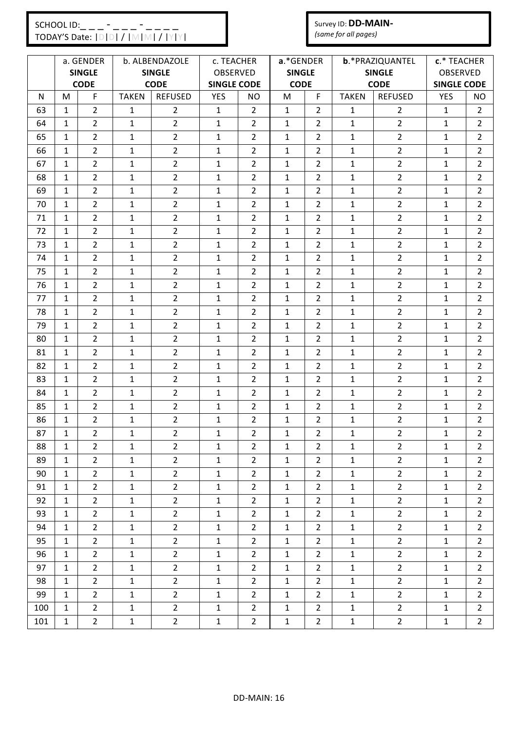#### Survey ID: **DD-MAIN-***(same for all pages)*

|     |              | a. GENDER<br><b>SINGLE</b> |              | b. ALBENDAZOLE<br><b>SINGLE</b> | c. TEACHER<br>OBSERVED |                | a.*GENDER<br><b>SINGLE</b> |                |              | b.*PRAZIQUANTEL<br><b>SINGLE</b> | c.* TEACHER<br>OBSERVED |                |
|-----|--------------|----------------------------|--------------|---------------------------------|------------------------|----------------|----------------------------|----------------|--------------|----------------------------------|-------------------------|----------------|
|     |              | <b>CODE</b>                |              | <b>CODE</b>                     | <b>SINGLE CODE</b>     |                | <b>CODE</b>                |                |              | <b>CODE</b>                      | <b>SINGLE CODE</b>      |                |
| N   | M            | F                          | <b>TAKEN</b> | <b>REFUSED</b>                  | <b>YES</b>             | NO             | M                          | F.             | <b>TAKEN</b> | <b>REFUSED</b>                   | <b>YES</b>              | NO             |
| 63  | 1            | $\overline{2}$             | 1            | $\overline{2}$                  | $\mathbf{1}$           | $\overline{2}$ | 1                          | $\overline{2}$ | 1            | $\overline{2}$                   | $\mathbf{1}$            | 2              |
| 64  | $\mathbf{1}$ | $\overline{2}$             | $\mathbf{1}$ | $\overline{2}$                  | $\mathbf{1}$           | $\overline{2}$ | $\mathbf{1}$               | $\overline{2}$ | $\mathbf{1}$ | $\overline{2}$                   | $\mathbf{1}$            | $\overline{2}$ |
| 65  | $\mathbf{1}$ | $\overline{2}$             | $\mathbf{1}$ | $\overline{2}$                  | $\mathbf{1}$           | $\overline{2}$ | $\mathbf{1}$               | $\overline{2}$ | $\mathbf{1}$ | $\overline{2}$                   | $\mathbf{1}$            | $\overline{2}$ |
| 66  | $\mathbf{1}$ | $\overline{2}$             | $\mathbf{1}$ | $\overline{2}$                  | $\mathbf{1}$           | $\overline{2}$ | $\mathbf{1}$               | $\overline{2}$ | $\mathbf{1}$ | $\overline{2}$                   | $\mathbf{1}$            | $\overline{2}$ |
| 67  | $\mathbf{1}$ | $\overline{2}$             | $\mathbf{1}$ | $\overline{2}$                  | $\mathbf{1}$           | $\overline{2}$ | 1                          | $\overline{2}$ | $\mathbf 1$  | $\overline{2}$                   | $\mathbf{1}$            | 2              |
| 68  | $\mathbf{1}$ | $\overline{2}$             | $\mathbf{1}$ | $\overline{2}$                  | $\mathbf{1}$           | $\overline{2}$ | 1                          | $\overline{2}$ | 1            | $\overline{2}$                   | $\mathbf{1}$            | $\overline{2}$ |
| 69  | $\mathbf{1}$ | $\overline{2}$             | $\mathbf{1}$ | $\overline{2}$                  | $\mathbf{1}$           | $\overline{2}$ | $\mathbf{1}$               | $\overline{2}$ | $\mathbf{1}$ | $\overline{2}$                   | $\mathbf{1}$            | $\overline{2}$ |
| 70  | $\mathbf{1}$ | $\overline{2}$             | $\mathbf{1}$ | $\overline{2}$                  | $\mathbf{1}$           | $\overline{2}$ | $\mathbf{1}$               | $\overline{2}$ | $\mathbf{1}$ | $\overline{2}$                   | $\mathbf{1}$            | $\overline{2}$ |
| 71  | $\mathbf{1}$ | $\overline{2}$             | $\mathbf{1}$ | $\overline{2}$                  | $\mathbf{1}$           | $\overline{2}$ | $\mathbf{1}$               | $\overline{2}$ | $\mathbf{1}$ | $\overline{2}$                   | $\mathbf{1}$            | $\overline{2}$ |
| 72  | $\mathbf{1}$ | $\overline{2}$             | $\mathbf{1}$ | $\overline{2}$                  | $\mathbf{1}$           | $\overline{2}$ | $\mathbf{1}$               | $\overline{2}$ | $\mathbf{1}$ | $\overline{2}$                   | $\mathbf{1}$            | $\overline{2}$ |
| 73  | $\mathbf{1}$ | $\overline{2}$             | 1            | $\overline{2}$                  | $\mathbf{1}$           | $\overline{2}$ | 1                          | $\overline{2}$ | $\mathbf{1}$ | $\overline{2}$                   | $\mathbf{1}$            | $\overline{2}$ |
| 74  | $\mathbf{1}$ | $\overline{2}$             | $\mathbf{1}$ | $\overline{2}$                  | $\mathbf{1}$           | $\overline{2}$ | $\mathbf{1}$               | $\overline{2}$ | $\mathbf{1}$ | $\overline{2}$                   | $\mathbf{1}$            | $\overline{2}$ |
| 75  | 1            | $\overline{2}$             | $\mathbf{1}$ | $\overline{2}$                  | 1                      | $\overline{2}$ | 1                          | $\overline{2}$ | $\mathbf{1}$ | $\overline{2}$                   | 1                       | $\overline{2}$ |
| 76  | $\mathbf{1}$ | $\overline{2}$             | $\mathbf{1}$ | $\overline{2}$                  | 1                      | $\overline{2}$ | $\mathbf{1}$               | 2              | $\mathbf{1}$ | $\overline{2}$                   | $\mathbf{1}$            | $\overline{2}$ |
| 77  | 1            | $\overline{2}$             | $\mathbf{1}$ | $\overline{2}$                  | 1                      | $\overline{2}$ | 1                          | 2              | 1            | $\overline{2}$                   | $\mathbf{1}$            | 2              |
| 78  | $\mathbf{1}$ | $\overline{2}$             | $\mathbf{1}$ | $\overline{2}$                  | $\mathbf{1}$           | $\overline{2}$ | $\mathbf{1}$               | $\overline{2}$ | $\mathbf{1}$ | $\overline{2}$                   | $\mathbf{1}$            | $\overline{2}$ |
| 79  | $\mathbf{1}$ | $\overline{2}$             | $\mathbf{1}$ | $\overline{2}$                  | $\mathbf{1}$           | $\overline{2}$ | $\mathbf{1}$               | $\overline{2}$ | $\mathbf 1$  | $\overline{2}$                   | $\mathbf{1}$            | 2              |
| 80  | $\mathbf{1}$ | $\overline{2}$             | $\mathbf{1}$ | $\overline{2}$                  | 1                      | $\overline{2}$ | 1                          | 2              | 1            | $\overline{2}$                   | $\mathbf{1}$            | $\overline{2}$ |
| 81  | $\mathbf{1}$ | $\overline{2}$             | $\mathbf{1}$ | $\overline{2}$                  | $\mathbf{1}$           | $\overline{2}$ | $\mathbf{1}$               | $\overline{2}$ | $\mathbf 1$  | $\overline{2}$                   | $\mathbf{1}$            | $\overline{2}$ |
| 82  | $\mathbf{1}$ | $\overline{2}$             | $\mathbf{1}$ | $\overline{2}$                  | $\mathbf{1}$           | $\overline{2}$ | $\mathbf{1}$               | $\overline{2}$ | $\mathbf{1}$ | $\overline{2}$                   | $\mathbf{1}$            | $\overline{2}$ |
| 83  | $\mathbf{1}$ | $\overline{2}$             | 1            | $\overline{2}$                  | $\mathbf{1}$           | $\overline{2}$ | $\mathbf{1}$               | $\overline{2}$ | $\mathbf{1}$ | $\overline{2}$                   | $\mathbf{1}$            | $\overline{2}$ |
| 84  | $\mathbf{1}$ | $\overline{2}$             | $\mathbf{1}$ | $\overline{2}$                  | $\mathbf{1}$           | $\overline{2}$ | $\mathbf{1}$               | $\overline{2}$ | $\mathbf 1$  | $\overline{2}$                   | $\mathbf{1}$            | $\overline{2}$ |
| 85  | $\mathbf{1}$ | $\overline{2}$             | $\mathbf{1}$ | $\overline{2}$                  | $\mathbf{1}$           | $\overline{2}$ | 1                          | $\overline{2}$ | $\mathbf{1}$ | $\overline{2}$                   | $\mathbf{1}$            | $\overline{2}$ |
| 86  | $\mathbf{1}$ | $\overline{2}$             | $\mathbf{1}$ | $\overline{2}$                  | $\mathbf{1}$           | $\overline{2}$ | $\mathbf{1}$               | $\overline{2}$ | $\mathbf{1}$ | $\overline{2}$                   | $\mathbf{1}$            | $\overline{2}$ |
| 87  | $\mathbf{1}$ | $\overline{2}$             | $\mathbf{1}$ | $\overline{2}$                  | $\mathbf{1}$           | $\overline{2}$ | $\mathbf{1}$               | 2              | $\mathbf{1}$ | $\overline{2}$                   | $\mathbf{1}$            | $\overline{2}$ |
| 88  | $\mathbf{1}$ | $\overline{2}$             | 1            | $\mathbf{2}$                    | 1                      | $\overline{2}$ | 1                          | $\overline{2}$ | 1            | $\overline{2}$                   | 1                       | 2              |
| 89  | $\mathbf{1}$ | $\overline{2}$             | $\mathbf{1}$ | $\overline{2}$                  | $\mathbf{1}$           | $\overline{2}$ | $\mathbf{1}$               | $\overline{2}$ | 1            | $\overline{2}$                   | $\mathbf{1}$            | $\overline{2}$ |
| 90  | $\mathbf{1}$ | $\mathbf{2}$               | $\mathbf{1}$ | $\overline{2}$                  | $\mathbf{1}$           | $\overline{2}$ | $\mathbf{1}$               | $\overline{2}$ | $\mathbf{1}$ | $\overline{2}$                   | $\mathbf 1$             | $\overline{2}$ |
| 91  | $\mathbf{1}$ | $\overline{2}$             | $\mathbf{1}$ | $\overline{2}$                  | $\mathbf{1}$           | $\overline{2}$ | $\mathbf{1}$               | $\overline{2}$ | $\mathbf{1}$ | $\overline{2}$                   | $\mathbf{1}$            | $\mathbf{2}$   |
| 92  | $\mathbf{1}$ | $\overline{2}$             | $\mathbf{1}$ | $\overline{2}$                  | $\mathbf{1}$           | $\overline{2}$ | $\mathbf{1}$               | $\overline{2}$ | 1            | $\overline{2}$                   | $\mathbf{1}$            | $\overline{2}$ |
| 93  | $\mathbf{1}$ | $\overline{2}$             | $\mathbf{1}$ | $\overline{2}$                  | $\mathbf{1}$           | $\overline{2}$ | $\mathbf{1}$               | $\overline{2}$ | $\mathbf{1}$ | $\overline{2}$                   | $\mathbf{1}$            | $\overline{2}$ |
| 94  | $\mathbf{1}$ | $2^{\circ}$                | $\mathbf{1}$ | $\overline{2}$                  | $\mathbf{1}$           | $\overline{2}$ | $\mathbf{1}$               | $2^{\circ}$    | $\mathbf{1}$ | $\overline{2}$                   | $\mathbf{1}$            | $\overline{2}$ |
| 95  | $\mathbf{1}$ | $\overline{2}$             | $\mathbf{1}$ | $\overline{2}$                  | $\mathbf{1}$           | $\overline{2}$ | $\mathbf{1}$               | $\overline{2}$ | $\mathbf{1}$ | $\overline{2}$                   | $\mathbf{1}$            | $\overline{2}$ |
| 96  | $\mathbf{1}$ | $\overline{2}$             | $\mathbf{1}$ | $2^{\circ}$                     | $\mathbf{1}$           | $\overline{2}$ | $\mathbf{1}$               | $\overline{2}$ | $\mathbf{1}$ | $\overline{2}$                   | $\mathbf{1}$            | $\mathbf{2}$   |
| 97  | $\mathbf{1}$ | $2^{\circ}$                | $\mathbf{1}$ | $\overline{2}$                  | $\mathbf{1}$           | $\overline{2}$ | $\mathbf{1}$               | $\overline{2}$ | $\mathbf{1}$ | $\overline{2}$                   | $\mathbf{1}$            | $\overline{2}$ |
| 98  | $\mathbf{1}$ | $\overline{2}$             | $\mathbf{1}$ | $\overline{2}$                  | $\mathbf{1}$           | $\overline{2}$ | $\mathbf{1}$               | $\overline{2}$ | $\mathbf{1}$ | $\overline{2}$                   | $\mathbf{1}$            | $\overline{2}$ |
| 99  | $\mathbf{1}$ | $\overline{2}$             | $\mathbf{1}$ | $\overline{2}$                  | $\mathbf 1$            | $\overline{2}$ | $\mathbf{1}$               | $2^{\circ}$    | $\mathbf{1}$ | $\overline{2}$                   | $\mathbf{1}$            | $\mathbf{2}$   |
| 100 | $\mathbf{1}$ | $\overline{2}$             | $\mathbf{1}$ | $\overline{2}$                  | $\mathbf{1}$           | $\overline{2}$ | $\mathbf{1}$               | $\overline{2}$ | $\mathbf{1}$ | $\overline{2}$                   | $\mathbf{1}$            | $\overline{2}$ |
| 101 | $\mathbf{1}$ | $\mathbf{2}$               | $\mathbf{1}$ | $\overline{2}$                  | $\mathbf{1}$           | $\mathbf{2}$   | $\mathbf{1}$               | $\overline{2}$ | $\mathbf{1}$ | $\overline{2}$                   | 1                       | $\overline{2}$ |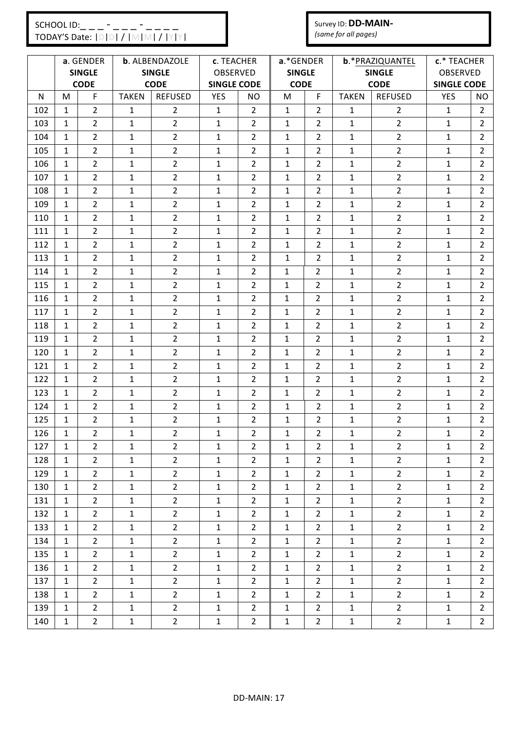## $SCHOOLID:$  \_ \_ \_ - \_ \_ \_ - \_ \_ -<br>TODAY'S Date:  $IDIDI / IMIN$ TODAY'S Date: |D|D| / |M|M| / |Y|Y|

# Survey ID: **DD-MAIN-**

|     | TODAY'S Date: IDIDI / IMIMI / IYIYI                           |                |              |                        |                    | (same for all pages)       |                |                |                                  |                         |                    |                |
|-----|---------------------------------------------------------------|----------------|--------------|------------------------|--------------------|----------------------------|----------------|----------------|----------------------------------|-------------------------|--------------------|----------------|
|     | a. GENDER<br>b. ALBENDAZOLE<br><b>SINGLE</b><br><b>SINGLE</b> |                |              | c. TEACHER<br>OBSERVED |                    | a.*GENDER<br><b>SINGLE</b> |                |                | b.*PRAZIQUANTEL<br><b>SINGLE</b> | c.* TEACHER<br>OBSERVED |                    |                |
|     |                                                               | <b>CODE</b>    |              | <b>CODE</b>            | <b>SINGLE CODE</b> |                            | <b>CODE</b>    |                |                                  | <b>CODE</b>             | <b>SINGLE CODE</b> |                |
| N   | M                                                             | F              | <b>TAKEN</b> | <b>REFUSED</b>         | YES                | NO                         | M              | F.             | <b>TAKEN</b>                     | <b>REFUSED</b>          | <b>YES</b>         | <b>NO</b>      |
| 102 | $\mathbf{1}$                                                  | $\overline{2}$ | 1            | $\overline{2}$         | $\mathbf{1}$       | $\overline{2}$             | $\mathbf{1}$   | 2              | 1                                | $\overline{2}$          | $\mathbf{1}$       | $\overline{2}$ |
| 103 | $\mathbf{1}$                                                  | $\overline{2}$ | $\mathbf{1}$ | $\overline{2}$         | $\mathbf{1}$       | $\overline{2}$             | $\mathbf{1}$   | $\overline{2}$ | $\mathbf{1}$                     | $\overline{2}$          | $\mathbf{1}$       | $\overline{2}$ |
| 104 | $\mathbf{1}$                                                  | $\overline{2}$ | 1            | $\overline{2}$         | $\mathbf{1}$       | $\overline{2}$             | $\mathbf{1}$   | 2              | 1                                | $\overline{2}$          | 1                  | $\overline{2}$ |
| 105 | $\mathbf{1}$                                                  | $\overline{2}$ | $\mathbf{1}$ | $\overline{2}$         | $\mathbf{1}$       | $\overline{2}$             | $\mathbf{1}$   | $\overline{2}$ | $\mathbf{1}$                     | $\overline{2}$          | $\mathbf{1}$       | $\overline{2}$ |
| 106 | $\mathbf{1}$                                                  | $\overline{2}$ | $\mathbf{1}$ | $\overline{2}$         | $\mathbf{1}$       | $\overline{2}$             | $\mathbf{1}$   | $\overline{2}$ | 1                                | $\overline{2}$          | $\mathbf{1}$       | $\overline{2}$ |
| 107 | $\mathbf{1}$                                                  | $\overline{2}$ | $\mathbf{1}$ | $\overline{2}$         | $\mathbf{1}$       | $\overline{2}$             | $\mathbf{1}$   | $\overline{2}$ | 1                                | $\overline{2}$          | 1                  | $\overline{2}$ |
| 108 | $\mathbf{1}$                                                  | $\overline{2}$ | $\mathbf{1}$ | $\overline{2}$         | $\mathbf{1}$       | $\overline{2}$             | $\mathbf{1}$   | $\overline{2}$ | 1                                | $\overline{2}$          | $\mathbf{1}$       | $\overline{2}$ |
| 109 | $\mathbf{1}$                                                  | $\overline{2}$ | $\mathbf{1}$ | $\overline{2}$         | $\mathbf{1}$       | $\overline{2}$             | $\mathbf{1}$   | 2              | $\mathbf{1}$                     | $\overline{2}$          | 1                  | $\overline{2}$ |
| 110 | $\mathbf{1}$                                                  | $\overline{2}$ | 1            | $\overline{2}$         | $\mathbf{1}$       | $\overline{2}$             | $\mathbf{1}$   | $\overline{2}$ | $\mathbf{1}$                     | $\overline{2}$          | 1                  | $\overline{2}$ |
| 111 | $\mathbf{1}$                                                  | $\overline{2}$ | $\mathbf{1}$ | $\overline{2}$         | $\mathbf{1}$       | $\overline{2}$             | $\mathbf{1}$   | $\overline{2}$ | $\mathbf{1}$                     | $\overline{2}$          | $\mathbf{1}$       | $\overline{2}$ |
| 112 | 1                                                             | $\overline{2}$ | $\mathbf{1}$ | $\overline{2}$         | $\mathbf{1}$       | $\overline{2}$             | $\mathbf{1}$   | $\overline{2}$ | $\mathbf{1}$                     | $\overline{2}$          | $\mathbf{1}$       | $\overline{2}$ |
| 113 | $\mathbf{1}$                                                  | $\overline{2}$ | 1            | $\overline{2}$         | $\mathbf{1}$       | $\overline{2}$             | $\mathbf{1}$   | 2              | 1                                | $\overline{2}$          | 1                  | $\overline{2}$ |
| 114 | $\mathbf{1}$                                                  | $\overline{2}$ | $\mathbf{1}$ | $\overline{2}$         | $\mathbf{1}$       | $\overline{2}$             | 1              | $\overline{2}$ | $\mathbf{1}$                     | $\overline{2}$          | 1                  | $\overline{2}$ |
| 115 | $\mathbf{1}$                                                  | $\overline{2}$ | $\mathbf{1}$ | $\overline{2}$         | $\mathbf{1}$       | $\overline{2}$             | 1              | $\overline{2}$ | $\mathbf{1}$                     | $\overline{2}$          | $\mathbf{1}$       | $\overline{2}$ |
| 116 | $\mathbf{1}$                                                  | $\overline{2}$ | $\mathbf{1}$ | $\overline{2}$         | $\mathbf{1}$       | $\overline{2}$             | 1              | $\overline{2}$ | $\mathbf{1}$                     | $\overline{2}$          | 1                  | $\overline{2}$ |
| 117 | $\mathbf{1}$                                                  | $\overline{2}$ | 1            | $\overline{2}$         | $\mathbf{1}$       | $\overline{2}$             | 1              | $\overline{2}$ | $\mathbf{1}$                     | $\overline{2}$          | $\mathbf{1}$       | $\overline{2}$ |
| 118 | $\mathbf{1}$                                                  | $\overline{2}$ | $\mathbf{1}$ | $\overline{2}$         | $\mathbf{1}$       | $\overline{2}$             | $\mathbf{1}$   | $\overline{2}$ | $\mathbf{1}$                     | $\overline{2}$          | $\mathbf{1}$       | $\overline{2}$ |
| 119 | $\mathbf{1}$                                                  | $\overline{2}$ | $\mathbf{1}$ | $\overline{2}$         | $\mathbf{1}$       | $\overline{2}$             | 1              | $\overline{2}$ | $\mathbf{1}$                     | $\overline{2}$          | $\mathbf{1}$       | $\overline{2}$ |
| 120 | $\mathbf{1}$                                                  | $\overline{2}$ | $\mathbf{1}$ | $\overline{2}$         | $\mathbf{1}$       | $\overline{2}$             | 1              | $\overline{2}$ | $\mathbf{1}$                     | $\overline{2}$          | $\mathbf{1}$       | $\overline{2}$ |
| 121 | $\mathbf{1}$                                                  | $\overline{2}$ | $\mathbf{1}$ | $\overline{2}$         | $\mathbf{1}$       | $\overline{2}$             | 1              | $\overline{2}$ | $\mathbf{1}$                     | $\mathbf{2}$            | 1                  | $\overline{2}$ |
| 122 | $\mathbf{1}$                                                  | $\overline{2}$ | 1            | $\overline{2}$         | $\mathbf{1}$       | $\overline{2}$             | 1              | $\overline{2}$ | $\mathbf{1}$                     | $\overline{2}$          | $\mathbf{1}$       | $\overline{2}$ |
| 123 | $\mathbf{1}$                                                  | $\overline{2}$ | 1            | $\overline{2}$         | $\mathbf{1}$       | $\overline{2}$             | 1              | $\overline{2}$ | $\mathbf{1}$                     | $\overline{2}$          | 1                  | $\overline{2}$ |
| 124 | 1                                                             | $\overline{2}$ | $\mathbf{1}$ | $\overline{2}$         | $\mathbf{1}$       | $\overline{2}$             | 1              | 2              | $\mathbf{1}$                     | $\mathbf{2}$            | 1                  | $\overline{2}$ |
| 125 | $\mathbf{1}$                                                  | $\overline{2}$ | $\mathbf{1}$ | $\overline{2}$         | $\mathbf{1}$       | $\overline{2}$             | $\overline{1}$ | $\mathcal{P}$  | $\mathbf{1}$                     | $\overline{2}$          | $\mathbf{1}$       | $\overline{2}$ |
| 126 | $\mathbf{1}$                                                  | $\overline{2}$ | $\mathbf{1}$ | $\overline{2}$         | $\mathbf{1}$       | $\overline{2}$             | $\mathbf{1}$   | $\overline{2}$ | $\mathbf{1}$                     | $\overline{2}$          | $\mathbf{1}$       | $\overline{2}$ |
| 127 | $\mathbf{1}$                                                  | $\overline{2}$ | $\mathbf{1}$ | $2^{\circ}$            | $\mathbf{1}$       | $\overline{2}$             | $\mathbf{1}$   | $\overline{2}$ | 1                                | $\overline{2}$          | $\mathbf{1}$       | $2^{\circ}$    |
| 128 | $\mathbf{1}$                                                  | $\mathbf{2}$   | $\mathbf{1}$ | $2^{\circ}$            | $\mathbf{1}$       | $\mathbf{2}$               | $\mathbf{1}$   | $\mathbf{2}$   | $\mathbf{1}$                     | $2^{\circ}$             | $\mathbf{1}$       | $2^{\circ}$    |
| 129 | $\mathbf{1}$                                                  | $\overline{2}$ | $\mathbf{1}$ | $2^{\circ}$            | $\mathbf{1}$       | 2                          | $\mathbf{1}$   | $2^{\circ}$    | $\mathbf{1}$                     | $\overline{2}$          | $\mathbf{1}$       | $2^{\circ}$    |
| 130 | $\mathbf{1}$                                                  | $2^{\circ}$    | 1            | $2^{\circ}$            | $\mathbf{1}$       | $\overline{2}$             | $\mathbf{1}$   | 2              | 1                                | $\overline{2}$          | $\mathbf{1}$       | $\overline{2}$ |
| 131 | $\mathbf{1}$                                                  | $\overline{2}$ | $\mathbf{1}$ | $2^{\circ}$            | $\mathbf{1}$       | $\overline{2}$             | $\mathbf{1}$   | $2^{\circ}$    | $\mathbf{1}$                     | $\overline{2}$          | $\mathbf{1}$       | $2^{\circ}$    |
| 132 | $\mathbf{1}$                                                  | $\overline{2}$ | $\mathbf{1}$ | $2^{\circ}$            | $\mathbf{1}$       | $\overline{2}$             | $\mathbf{1}$   | $\overline{2}$ | $\mathbf{1}$                     | $\overline{2}$          | $\mathbf{1}$       | $2^{\circ}$    |
| 133 | 1                                                             | $\mathbf{2}$   | $\mathbf{1}$ | $\mathbf{2}$           | $\mathbf{1}$       | $\overline{2}$             | $\mathbf{1}$   | $\mathbf{2}$   | 1                                | $\mathbf{2}$            | $\mathbf{1}$       | $2^{\circ}$    |
| 134 | $\mathbf{1}$                                                  | $2^{\circ}$    | $\mathbf{1}$ | $2^{\circ}$            | $\mathbf{1}$       | $\overline{2}$             | $\mathbf{1}$   | $2^{\circ}$    | $\mathbf{1}$                     | $\overline{2}$          | $\mathbf{1}$       | $2^{\circ}$    |
| 135 | $\mathbf{1}$                                                  | $\overline{2}$ | $\mathbf{1}$ | $2^{\circ}$            | $\mathbf{1}$       | $2^{\circ}$                | $\mathbf{1}$   | $\overline{2}$ | 1                                | $\overline{2}$          | $\mathbf{1}$       | $2^{\circ}$    |
| 136 | $\mathbf{1}$                                                  | $\overline{2}$ | 1            | $\mathbf{2}$           | 1                  | $\mathbf{2}^{\prime}$      | 1              | $\overline{2}$ | 1                                | $\overline{2}$          | 1                  | $\overline{2}$ |
| 137 | $\mathbf{1}$                                                  | $2^{\circ}$    | $\mathbf{1}$ | $2^{\circ}$            | $\mathbf{1}$       | $\overline{2}$             | $\mathbf{1}$   | $\overline{2}$ | $\mathbf{1}$                     | $\overline{2}$          | $\mathbf{1}$       | $2^{\circ}$    |
| 138 | 1                                                             | $\overline{2}$ | $\mathbf{1}$ | $\overline{2}$         | $\mathbf{1}$       | 2                          | $\mathbf{1}$   | $\overline{2}$ | 1                                | $\overline{2}$          | $\mathbf{1}$       | $2^{\circ}$    |
| 139 | $\mathbf{1}$                                                  | $2^{\circ}$    | $\mathbf{1}$ | $2^{\circ}$            | $\mathbf{1}$       | $2^{\circ}$                | $\mathbf{1}$   | $2^{\circ}$    | $\mathbf{1}$                     | $2^{\circ}$             | $\mathbf{1}$       | $2^{\circ}$    |

140 | 1 | 2 | 1 | 1 | 2 | 1 | 1 | 2 | 1 | 2 | 1 | 2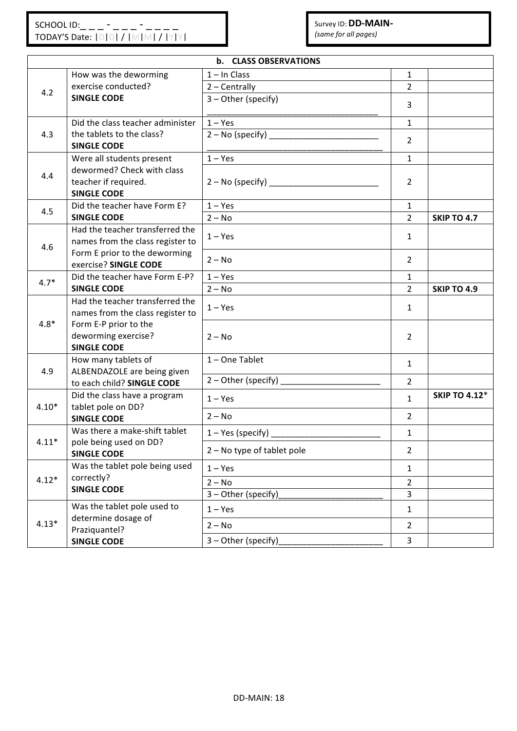| b. CLASS OBSERVATIONS |                                                                          |                                 |                |                      |  |  |  |  |  |
|-----------------------|--------------------------------------------------------------------------|---------------------------------|----------------|----------------------|--|--|--|--|--|
|                       | How was the deworming                                                    | $1 - In Class$                  | $\mathbf{1}$   |                      |  |  |  |  |  |
| 4.2                   | exercise conducted?                                                      | $2 - Centrally$                 | $\overline{2}$ |                      |  |  |  |  |  |
|                       | <b>SINGLE CODE</b>                                                       | 3 - Other (specify)             | $\overline{3}$ |                      |  |  |  |  |  |
|                       | Did the class teacher administer                                         | $1 - Yes$                       | $\mathbf{1}$   |                      |  |  |  |  |  |
| 4.3                   | the tablets to the class?<br><b>SINGLE CODE</b>                          |                                 | $\overline{2}$ |                      |  |  |  |  |  |
|                       | Were all students present                                                | $1 - Yes$                       | $\mathbf{1}$   |                      |  |  |  |  |  |
| 4.4                   | dewormed? Check with class<br>teacher if required.<br><b>SINGLE CODE</b> |                                 | $\overline{2}$ |                      |  |  |  |  |  |
| 4.5                   | Did the teacher have Form E?                                             | $1 - Yes$                       | $\mathbf{1}$   |                      |  |  |  |  |  |
|                       | <b>SINGLE CODE</b>                                                       | $2 - No$                        | $\overline{2}$ | <b>SKIP TO 4.7</b>   |  |  |  |  |  |
| 4.6                   | Had the teacher transferred the<br>names from the class register to      | $1 - Yes$                       | $\mathbf{1}$   |                      |  |  |  |  |  |
|                       | Form E prior to the deworming<br>exercise? SINGLE CODE                   | $2 - No$                        | $\overline{2}$ |                      |  |  |  |  |  |
| $4.7*$                | Did the teacher have Form E-P?                                           | $1 - Yes$                       | $\mathbf{1}$   |                      |  |  |  |  |  |
|                       | <b>SINGLE CODE</b>                                                       | $2 - No$                        | $\overline{2}$ | <b>SKIP TO 4.9</b>   |  |  |  |  |  |
|                       | Had the teacher transferred the<br>names from the class register to      | $1 - Yes$                       | $\mathbf{1}$   |                      |  |  |  |  |  |
| $4.8*$                | Form E-P prior to the<br>deworming exercise?<br><b>SINGLE CODE</b>       | $2 - No$                        | $\overline{2}$ |                      |  |  |  |  |  |
| 4.9                   | How many tablets of<br>ALBENDAZOLE are being given                       | 1-One Tablet                    | $\mathbf{1}$   |                      |  |  |  |  |  |
|                       | to each child? SINGLE CODE                                               | 2 - Other (specify) ___________ | $\overline{2}$ |                      |  |  |  |  |  |
| $4.10*$               | Did the class have a program<br>tablet pole on DD?                       | $1 - Yes$                       | $\mathbf{1}$   | <b>SKIP TO 4.12*</b> |  |  |  |  |  |
|                       | <b>SINGLE CODE</b>                                                       | $2 - No$                        | $\overline{2}$ |                      |  |  |  |  |  |
| $4.11*$               | Was there a make-shift tablet<br>pole being used on DD?                  |                                 | $\mathbf{1}$   |                      |  |  |  |  |  |
|                       | <b>SINGLE CODE</b>                                                       | 2 - No type of tablet pole      | $\overline{2}$ |                      |  |  |  |  |  |
|                       | Was the tablet pole being used                                           | $1 - Yes$                       | $\mathbf{1}$   |                      |  |  |  |  |  |
| $4.12*$               | correctly?<br><b>SINGLE CODE</b>                                         | $2 - No$                        | $\overline{2}$ |                      |  |  |  |  |  |
|                       |                                                                          | 3 - Other (specify)             | 3              |                      |  |  |  |  |  |
|                       | Was the tablet pole used to<br>determine dosage of                       | $1 - Yes$                       | $\mathbf{1}$   |                      |  |  |  |  |  |
| $4.13*$               | Praziquantel?                                                            | $2 - No$                        | $\overline{2}$ |                      |  |  |  |  |  |
|                       | <b>SINGLE CODE</b>                                                       | 3 - Other (specify)             | $\overline{3}$ |                      |  |  |  |  |  |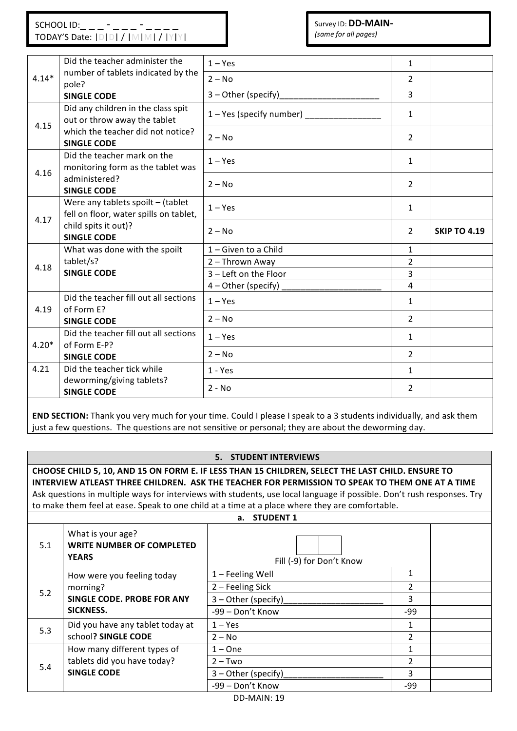Survey ID: **DD-MAIN-***(same for all pages)* 

|         | Did the teacher administer the                                                | $1 - Yes$                | $\mathbf{1}$   |                     |
|---------|-------------------------------------------------------------------------------|--------------------------|----------------|---------------------|
| $4.14*$ | number of tablets indicated by the<br>pole?                                   | $2 - No$                 | $\overline{2}$ |                     |
|         | <b>SINGLE CODE</b>                                                            | $3$ – Other (specify)    | 3              |                     |
|         | Did any children in the class spit<br>out or throw away the tablet            | 1 – Yes (specify number) | 1              |                     |
| 4.15    | which the teacher did not notice?<br><b>SINGLE CODE</b>                       | $2 - No$                 | $\overline{2}$ |                     |
| 4.16    | Did the teacher mark on the<br>monitoring form as the tablet was              | $1 - Yes$                | 1              |                     |
|         | administered?<br><b>SINGLE CODE</b>                                           | $2 - No$                 | $\overline{2}$ |                     |
| 4.17    | Were any tablets spoilt $-$ (tablet<br>fell on floor, water spills on tablet, | $1 - Yes$                | $\mathbf{1}$   |                     |
|         | child spits it out)?<br><b>SINGLE CODE</b>                                    | $2 - No$                 | $\overline{2}$ | <b>SKIP TO 4.19</b> |
|         | What was done with the spoilt                                                 | 1 - Given to a Child     | $\mathbf{1}$   |                     |
|         | tablet/s?                                                                     | 2 - Thrown Away          | $\overline{2}$ |                     |
| 4.18    | <b>SINGLE CODE</b>                                                            | 3 - Left on the Floor    | $\overline{3}$ |                     |
|         |                                                                               | 4 - Other (specify)      | 4              |                     |
| 4.19    | Did the teacher fill out all sections<br>of Form E?                           | $1 - Yes$                | 1              |                     |
|         | <b>SINGLE CODE</b>                                                            | $2 - No$                 | $\overline{2}$ |                     |
| $4.20*$ | Did the teacher fill out all sections<br>of Form E-P?                         | $1 - Yes$                | 1              |                     |
|         | <b>SINGLE CODE</b>                                                            | $2 - No$                 | $\overline{2}$ |                     |
| 4.21    | Did the teacher tick while                                                    | $1 - Yes$                | 1              |                     |
|         |                                                                               |                          |                |                     |
|         | deworming/giving tablets?<br><b>SINGLE CODE</b>                               | $2 - No$                 | $\overline{2}$ |                     |

**END SECTION:** Thank you very much for your time. Could I please I speak to a 3 students individually, and ask them just a few questions. The questions are not sensitive or personal; they are about the deworming day.

## **5. STUDENT INTERVIEWS**

**CHOOSE CHILD 5, 10, AND 15 ON FORM E. IF LESS THAN 15 CHILDREN, SELECT THE LAST CHILD. ENSURE TO INTERVIEW ATLEAST THREE CHILDREN.** ASK THE TEACHER FOR PERMISSION TO SPEAK TO THEM ONE AT A TIME Ask questions in multiple ways for interviews with students, use local language if possible. Don't rush responses. Try to make them feel at ease. Speak to one child at a time at a place where they are comfortable.

|     | <b>STUDENT 1</b><br>а.                                                |                          |                |  |  |  |  |  |  |  |
|-----|-----------------------------------------------------------------------|--------------------------|----------------|--|--|--|--|--|--|--|
| 5.1 | What is your age?<br><b>WRITE NUMBER OF COMPLETED</b><br><b>YEARS</b> | Fill (-9) for Don't Know |                |  |  |  |  |  |  |  |
|     | How were you feeling today                                            | 1 - Feeling Well         | 1              |  |  |  |  |  |  |  |
| 5.2 | morning?                                                              | 2 - Feeling Sick         | $\overline{2}$ |  |  |  |  |  |  |  |
|     | SINGLE CODE. PROBE FOR ANY                                            | 3 - Other (specify)      | 3              |  |  |  |  |  |  |  |
|     | SICKNESS.                                                             | -99 - Don't Know         | -99            |  |  |  |  |  |  |  |
| 5.3 | Did you have any tablet today at                                      | $1 - Yes$                | 1              |  |  |  |  |  |  |  |
|     | school? SINGLE CODE                                                   | $2 - No$                 | $\overline{2}$ |  |  |  |  |  |  |  |
|     | How many different types of                                           | $1 - One$                | 1              |  |  |  |  |  |  |  |
| 5.4 | tablets did you have today?                                           | $2 - Two$                | 2              |  |  |  |  |  |  |  |
|     | <b>SINGLE CODE</b>                                                    | 3 - Other (specify)      | 3              |  |  |  |  |  |  |  |
|     |                                                                       | -99 - Don't Know         | -99            |  |  |  |  |  |  |  |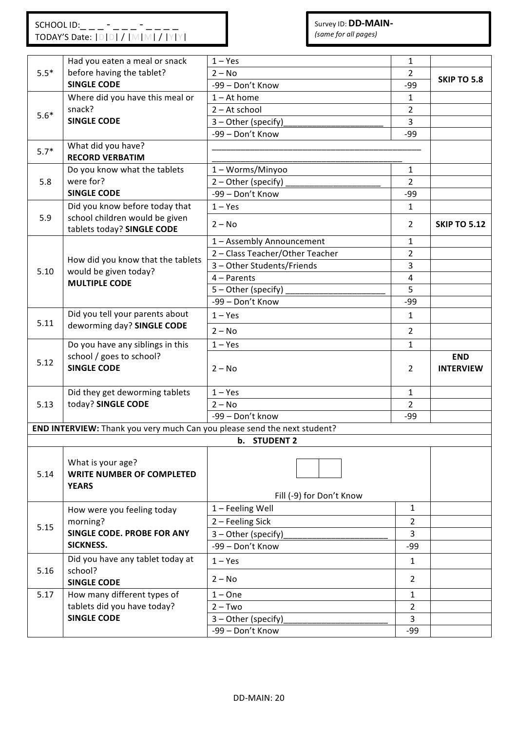|        | Had you eaten a meal or snack                                            | $1 - Yes$                       | 1              |                     |
|--------|--------------------------------------------------------------------------|---------------------------------|----------------|---------------------|
| $5.5*$ | before having the tablet?<br><b>SINGLE CODE</b>                          | $2 - No$                        | $\overline{2}$ | <b>SKIP TO 5.8</b>  |
|        |                                                                          | -99 - Don't Know                | $-99$          |                     |
|        | Where did you have this meal or                                          | $1 - At home$                   | 1              |                     |
| $5.6*$ | snack?                                                                   | 2 - At school                   | $\overline{2}$ |                     |
|        | <b>SINGLE CODE</b>                                                       | 3 - Other (specify)             | $\overline{3}$ |                     |
|        |                                                                          | -99 - Don't Know                | $-99$          |                     |
| $5.7*$ | What did you have?                                                       |                                 |                |                     |
|        | <b>RECORD VERBATIM</b>                                                   |                                 |                |                     |
|        | Do you know what the tablets                                             | 1-Worms/Minyoo                  | $\mathbf{1}$   |                     |
| 5.8    | were for?                                                                | 2 - Other (specify)             | $\overline{2}$ |                     |
|        | <b>SINGLE CODE</b>                                                       | -99 - Don't Know                | $-99$          |                     |
|        | Did you know before today that                                           | $1 - Yes$                       | $\mathbf{1}$   |                     |
| 5.9    | school children would be given<br>tablets today? SINGLE CODE             | $2 - No$                        | $\overline{2}$ | <b>SKIP TO 5.12</b> |
|        |                                                                          | 1 - Assembly Announcement       | 1              |                     |
|        |                                                                          | 2 - Class Teacher/Other Teacher | $\overline{2}$ |                     |
|        | How did you know that the tablets                                        | 3 - Other Students/Friends      | 3              |                     |
| 5.10   | would be given today?                                                    | $4 -$ Parents                   | $\sqrt{4}$     |                     |
|        | <b>MULTIPLE CODE</b>                                                     | 5 - Other (specify)             | 5              |                     |
|        |                                                                          | -99 - Don't Know                | $-99$          |                     |
|        | Did you tell your parents about                                          | $1 - Yes$                       | $\mathbf{1}$   |                     |
| 5.11   | deworming day? SINGLE CODE                                               | $2 - No$                        | $\overline{2}$ |                     |
|        | Do you have any siblings in this                                         | $1 - Yes$                       | 1              |                     |
| 5.12   | school / goes to school?                                                 |                                 |                | <b>END</b>          |
|        | <b>SINGLE CODE</b>                                                       | $2 - No$                        | $\overline{2}$ | <b>INTERVIEW</b>    |
|        |                                                                          |                                 |                |                     |
|        | Did they get deworming tablets                                           | $1 - Yes$                       | $\mathbf{1}$   |                     |
| 5.13   | today? SINGLE CODE                                                       | $2 - No$                        | $\overline{2}$ |                     |
|        |                                                                          | -99 - Don't know                | $-99$          |                     |
|        | END INTERVIEW: Thank you very much Can you please send the next student? |                                 |                |                     |
|        |                                                                          | b. STUDENT 2                    |                |                     |
|        |                                                                          |                                 |                |                     |
|        | What is your age?                                                        |                                 |                |                     |
| 5.14   | <b>WRITE NUMBER OF COMPLETED</b>                                         |                                 |                |                     |
|        | <b>YEARS</b>                                                             |                                 |                |                     |
|        |                                                                          | Fill (-9) for Don't Know        |                |                     |
|        | How were you feeling today                                               | 1 - Feeling Well                | $\mathbf{1}$   |                     |
| 5.15   | morning?                                                                 | 2 - Feeling Sick                | $\overline{2}$ |                     |
|        | SINGLE CODE. PROBE FOR ANY                                               | 3 - Other (specify)             | 3              |                     |
|        | <b>SICKNESS.</b>                                                         | -99 - Don't Know                | $-99$          |                     |
|        | Did you have any tablet today at                                         | $1 - Yes$                       | $\mathbf{1}$   |                     |
| 5.16   | school?<br><b>SINGLE CODE</b>                                            | $2 - No$                        | $\overline{2}$ |                     |
| 5.17   | How many different types of                                              | $1 - One$                       | $\mathbf{1}$   |                     |
|        | tablets did you have today?                                              | $2 - Two$                       | $\mathbf{2}$   |                     |
|        | <b>SINGLE CODE</b>                                                       | 3 - Other (specify)             | $\overline{3}$ |                     |
|        |                                                                          | -99 - Don't Know                | $-99$          |                     |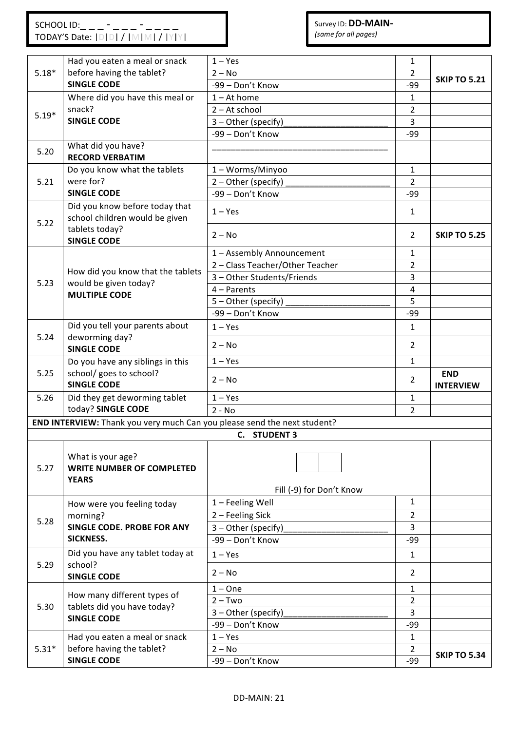|         | Had you eaten a meal or snack                                            | $1 - Yes$                       | $\mathbf{1}$   |                                |
|---------|--------------------------------------------------------------------------|---------------------------------|----------------|--------------------------------|
| $5.18*$ | before having the tablet?                                                | $2 - No$                        | $\overline{2}$ |                                |
|         | <b>SINGLE CODE</b>                                                       | -99 - Don't Know                | -99            | <b>SKIP TO 5.21</b>            |
|         | Where did you have this meal or                                          | $1 - At home$                   | $\mathbf{1}$   |                                |
|         | snack?                                                                   | $2 - At school$                 | 2              |                                |
| $5.19*$ | <b>SINGLE CODE</b>                                                       | 3 - Other (specify)             | 3              |                                |
|         |                                                                          | -99 - Don't Know                | $-99$          |                                |
|         | What did you have?                                                       |                                 |                |                                |
| 5.20    | <b>RECORD VERBATIM</b>                                                   |                                 |                |                                |
|         | Do you know what the tablets                                             | 1 - Worms/Minyoo                | $\mathbf{1}$   |                                |
| 5.21    | were for?                                                                | 2 - Other (specify)             | $\overline{2}$ |                                |
|         | <b>SINGLE CODE</b>                                                       | -99 - Don't Know                | $-99$          |                                |
| 5.22    | Did you know before today that<br>school children would be given         | $1 - Yes$                       | 1              |                                |
|         | tablets today?<br><b>SINGLE CODE</b>                                     | $2 - No$                        | $\overline{2}$ | <b>SKIP TO 5.25</b>            |
|         |                                                                          | 1 - Assembly Announcement       | 1              |                                |
|         | How did you know that the tablets                                        | 2 - Class Teacher/Other Teacher | $\overline{2}$ |                                |
| 5.23    | would be given today?                                                    | 3 - Other Students/Friends      | 3              |                                |
|         | <b>MULTIPLE CODE</b>                                                     | $4 -$ Parents                   | 4              |                                |
|         |                                                                          | 5 - Other (specify)             | 5              |                                |
|         |                                                                          | -99 - Don't Know                | $-99$          |                                |
|         | Did you tell your parents about                                          | $1 - Yes$                       | $\mathbf{1}$   |                                |
| 5.24    | deworming day?<br><b>SINGLE CODE</b>                                     | $2 - No$                        | $\overline{2}$ |                                |
|         | Do you have any siblings in this                                         | $1 - Yes$                       | $\mathbf{1}$   |                                |
| 5.25    | school/ goes to school?<br><b>SINGLE CODE</b>                            | $2 - No$                        | 2              | <b>END</b><br><b>INTERVIEW</b> |
| 5.26    | Did they get deworming tablet                                            | $1 - Yes$                       | $\mathbf{1}$   |                                |
|         | today? SINGLE CODE                                                       | $2 - No$                        | $\overline{2}$ |                                |
|         | END INTERVIEW: Thank you very much Can you please send the next student? |                                 |                |                                |
|         |                                                                          | C. STUDENT 3                    |                |                                |
| 5.27    | What is your age?<br><b>WRITE NUMBER OF COMPLETED</b><br><b>YEARS</b>    | Fill (-9) for Don't Know        |                |                                |
|         | How were you feeling today                                               | 1 - Feeling Well                | $\mathbf{1}$   |                                |
|         | morning?                                                                 | 2 - Feeling Sick                | $\overline{2}$ |                                |
| 5.28    | <b>SINGLE CODE. PROBE FOR ANY</b>                                        | 3 - Other (specify)             | $\overline{3}$ |                                |
|         | <b>SICKNESS.</b>                                                         | -99 - Don't Know                | $-99$          |                                |
|         | Did you have any tablet today at                                         | $1 - Yes$                       | $\mathbf{1}$   |                                |
| 5.29    | school?<br><b>SINGLE CODE</b>                                            | $2 - No$                        | $\overline{2}$ |                                |
|         |                                                                          | $1 - One$                       | $\mathbf{1}$   |                                |
|         | How many different types of                                              | $2 - Two$                       | $\overline{2}$ |                                |
| 5.30    | tablets did you have today?                                              | 3 - Other (specify)             | 3              |                                |
|         | <b>SINGLE CODE</b>                                                       | -99 - Don't Know                | $-99$          |                                |
|         | Had you eaten a meal or snack                                            | $1 - Yes$                       | 1              |                                |
| $5.31*$ | before having the tablet?                                                | $2 - No$                        | $\overline{2}$ |                                |
|         | <b>SINGLE CODE</b>                                                       | -99 - Don't Know                | -99            | <b>SKIP TO 5.34</b>            |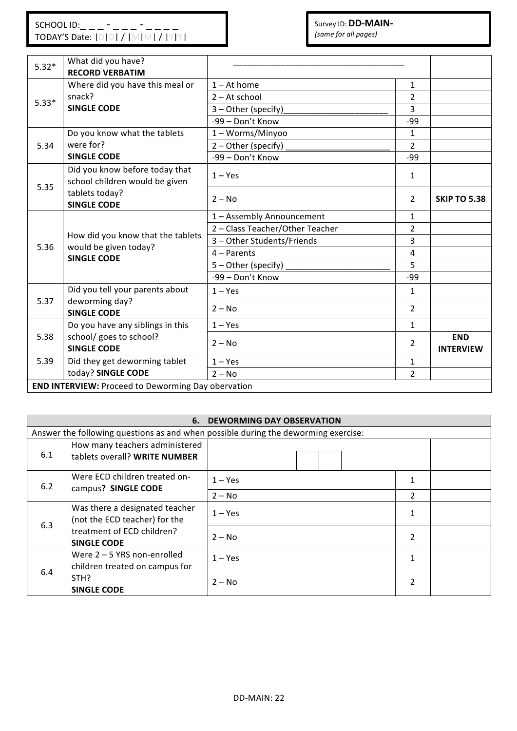| $5.32*$ | What did you have?<br><b>RECORD VERBATIM</b>                                     |                                 |                |                                |
|---------|----------------------------------------------------------------------------------|---------------------------------|----------------|--------------------------------|
|         | Where did you have this meal or                                                  | $1 - At home$                   | $\mathbf{1}$   |                                |
| $5.33*$ | snack?                                                                           | $2 - At school$                 | $\overline{2}$ |                                |
|         | <b>SINGLE CODE</b>                                                               | 3 - Other (specify)             | 3              |                                |
|         |                                                                                  | -99 - Don't Know                | $-99$          |                                |
|         | Do you know what the tablets                                                     | 1-Worms/Minyoo                  | $\mathbf{1}$   |                                |
| 5.34    | were for?                                                                        | 2 - Other (specify)             | $\overline{2}$ |                                |
|         | <b>SINGLE CODE</b>                                                               | -99 - Don't Know                | $-99$          |                                |
| 5.35    | Did you know before today that<br>school children would be given                 | $1 - Yes$                       | 1              |                                |
|         | tablets today?<br><b>SINGLE CODE</b>                                             | $2 - No$                        | $\overline{2}$ | <b>SKIP TO 5.38</b>            |
|         |                                                                                  | 1 - Assembly Announcement       | $\mathbf{1}$   |                                |
|         | How did you know that the tablets<br>would be given today?<br><b>SINGLE CODE</b> | 2 - Class Teacher/Other Teacher | 2              |                                |
| 5.36    |                                                                                  | 3 - Other Students/Friends      | 3              |                                |
|         |                                                                                  | $4 -$ Parents                   | 4              |                                |
|         |                                                                                  | 5 - Other (specify)             | 5              |                                |
|         |                                                                                  | -99 - Don't Know                | $-99$          |                                |
|         | Did you tell your parents about                                                  | $1 - Yes$                       | 1              |                                |
| 5.37    | deworming day?<br><b>SINGLE CODE</b>                                             | $2 - No$                        | $\overline{2}$ |                                |
|         | Do you have any siblings in this                                                 | $1 - Yes$                       | $\mathbf{1}$   |                                |
| 5.38    | school/ goes to school?<br><b>SINGLE CODE</b>                                    | $2 - No$                        | $\overline{2}$ | <b>END</b><br><b>INTERVIEW</b> |
| 5.39    | Did they get deworming tablet                                                    | $1 - Yes$                       | 1              |                                |
|         | today? SINGLE CODE                                                               | $2 - No$                        | $\overline{2}$ |                                |
|         | <b>END INTERVIEW: Proceed to Deworming Day obervation</b>                        |                                 |                |                                |

| <b>DEWORMING DAY OBSERVATION</b><br>6.                                                                                     |                                                                                               |           |                |  |  |  |
|----------------------------------------------------------------------------------------------------------------------------|-----------------------------------------------------------------------------------------------|-----------|----------------|--|--|--|
|                                                                                                                            | Answer the following questions as and when possible during the deworming exercise:            |           |                |  |  |  |
| 6.1                                                                                                                        | How many teachers administered<br>tablets overall? WRITE NUMBER                               |           |                |  |  |  |
| Were ECD children treated on-<br>6.2<br>campus? SINGLE CODE                                                                | $1 - Yes$                                                                                     |           |                |  |  |  |
|                                                                                                                            |                                                                                               | $2 - No$  | $\overline{2}$ |  |  |  |
| Was there a designated teacher<br>(not the ECD teacher) for the<br>6.3<br>treatment of ECD children?<br><b>SINGLE CODE</b> | $1 - Yes$                                                                                     |           |                |  |  |  |
|                                                                                                                            |                                                                                               | $2 - No$  | 2              |  |  |  |
| 6.4                                                                                                                        | Were $2 - 5$ YRS non-enrolled<br>children treated on campus for<br>STH?<br><b>SINGLE CODE</b> | $1 - Yes$ |                |  |  |  |
|                                                                                                                            |                                                                                               | $2 - No$  |                |  |  |  |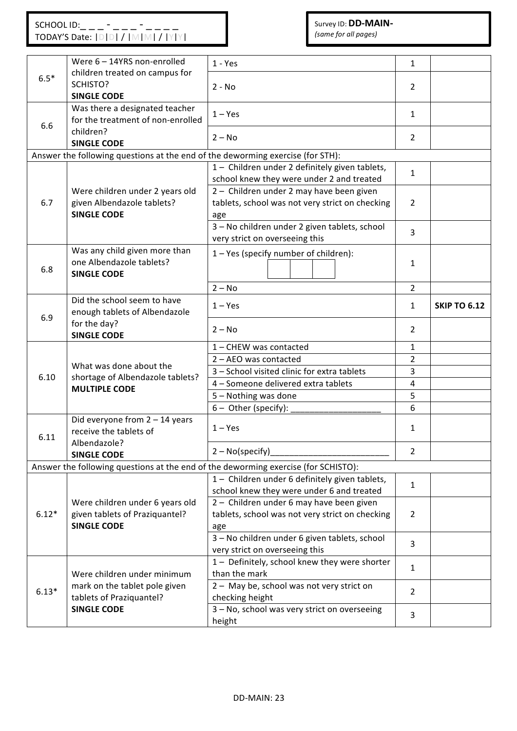# Survey ID: **DD-MAIN-**

| (same for all pages) |  |
|----------------------|--|
|----------------------|--|

|                                                                            | Were 6 - 14YRS non-enrolled                                                                                            | $1 - Yes$                                                                                          | $\mathbf{1}$   |                     |
|----------------------------------------------------------------------------|------------------------------------------------------------------------------------------------------------------------|----------------------------------------------------------------------------------------------------|----------------|---------------------|
| $6.5*$                                                                     | children treated on campus for<br>SCHISTO?<br><b>SINGLE CODE</b>                                                       | $2 - No$                                                                                           | 2              |                     |
| Was there a designated teacher<br>for the treatment of non-enrolled<br>6.6 |                                                                                                                        | $1 - Yes$                                                                                          |                |                     |
|                                                                            | children?<br><b>SINGLE CODE</b>                                                                                        | $2 - No$                                                                                           | $\overline{2}$ |                     |
|                                                                            | Answer the following questions at the end of the deworming exercise (for STH):                                         |                                                                                                    |                |                     |
|                                                                            |                                                                                                                        | 1- Children under 2 definitely given tablets,<br>school knew they were under 2 and treated         | $\mathbf{1}$   |                     |
| 6.7                                                                        | Were children under 2 years old<br>given Albendazole tablets?<br><b>SINGLE CODE</b>                                    | 2 - Children under 2 may have been given<br>tablets, school was not very strict on checking<br>age | $\overline{2}$ |                     |
|                                                                            |                                                                                                                        | 3 - No children under 2 given tablets, school<br>very strict on overseeing this                    | $\overline{3}$ |                     |
| 6.8                                                                        | Was any child given more than<br>1-Yes (specify number of children):<br>one Albendazole tablets?<br><b>SINGLE CODE</b> |                                                                                                    | 1              |                     |
|                                                                            |                                                                                                                        | $2 - No$                                                                                           | $\overline{2}$ |                     |
| 6.9                                                                        | Did the school seem to have<br>enough tablets of Albendazole                                                           | $1 - Yes$                                                                                          |                | <b>SKIP TO 6.12</b> |
|                                                                            | for the day?<br><b>SINGLE CODE</b>                                                                                     | $2 - No$                                                                                           | $\overline{2}$ |                     |
|                                                                            | What was done about the<br>shortage of Albendazole tablets?<br><b>MULTIPLE CODE</b>                                    | 1 - CHEW was contacted                                                                             |                |                     |
|                                                                            |                                                                                                                        | 2 - AEO was contacted                                                                              | 2<br>3         |                     |
| 6.10                                                                       |                                                                                                                        | 3 - School visited clinic for extra tablets                                                        |                |                     |
|                                                                            |                                                                                                                        | 4 - Someone delivered extra tablets                                                                |                |                     |
|                                                                            |                                                                                                                        | 5 - Nothing was done                                                                               |                |                     |
|                                                                            |                                                                                                                        | 6 - Other (specify):                                                                               | 6              |                     |
| 6.11                                                                       | Did everyone from $2 - 14$ years<br>receive the tablets of                                                             | $1 - Yes$                                                                                          | 1              |                     |
|                                                                            | Albendazole?<br><b>SINGLE CODE</b>                                                                                     | $2 - No(specify)$                                                                                  |                |                     |
|                                                                            |                                                                                                                        | Answer the following questions at the end of the deworming exercise (for SCHISTO):                 |                |                     |
|                                                                            |                                                                                                                        | 1- Children under 6 definitely given tablets,                                                      |                |                     |
|                                                                            | Were children under 6 years old<br>given tablets of Praziquantel?                                                      | school knew they were under 6 and treated                                                          | 1              |                     |
|                                                                            |                                                                                                                        | 2 - Children under 6 may have been given                                                           |                |                     |
| $6.12*$                                                                    |                                                                                                                        | tablets, school was not very strict on checking                                                    | $\overline{2}$ |                     |
|                                                                            | <b>SINGLE CODE</b>                                                                                                     | age                                                                                                |                |                     |
|                                                                            |                                                                                                                        | 3 - No children under 6 given tablets, school                                                      | 3              |                     |
|                                                                            |                                                                                                                        | very strict on overseeing this                                                                     |                |                     |
| $6.13*$                                                                    | Were children under minimum                                                                                            | 1- Definitely, school knew they were shorter<br>than the mark                                      |                |                     |
|                                                                            | mark on the tablet pole given<br>tablets of Praziquantel?                                                              | 2 - May be, school was not very strict on<br>checking height                                       | 2              |                     |
|                                                                            | <b>SINGLE CODE</b>                                                                                                     | 3 - No, school was very strict on overseeing<br>height                                             |                |                     |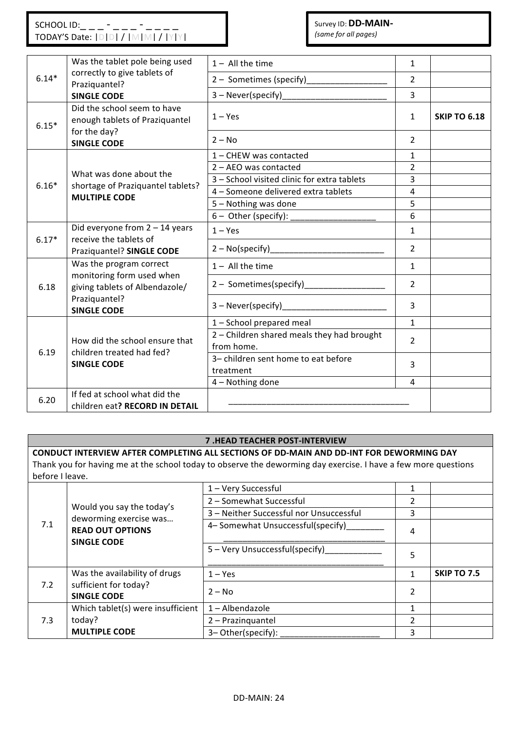| $6.14*$ | Was the tablet pole being used                                                                                                | $1 -$ All the time                                       | $\mathbf{1}$   |                     |
|---------|-------------------------------------------------------------------------------------------------------------------------------|----------------------------------------------------------|----------------|---------------------|
|         | correctly to give tablets of<br>Praziquantel?                                                                                 | 2 - Sometimes (specify)                                  | $\overline{2}$ |                     |
|         | <b>SINGLE CODE</b>                                                                                                            | $3 - Never(specify)$                                     | 3              |                     |
| $6.15*$ | Did the school seem to have<br>enough tablets of Praziquantel                                                                 | $1 - Yes$                                                | $\mathbf{1}$   | <b>SKIP TO 6.18</b> |
|         | for the day?<br><b>SINGLE CODE</b>                                                                                            | $2 - No$                                                 | $\overline{2}$ |                     |
|         |                                                                                                                               | 1 - CHEW was contacted                                   |                |                     |
|         | What was done about the                                                                                                       | 2 - AEO was contacted                                    |                |                     |
| $6.16*$ |                                                                                                                               | 3 - School visited clinic for extra tablets              | 3              |                     |
|         | shortage of Praziquantel tablets?<br><b>MULTIPLE CODE</b>                                                                     | 4 - Someone delivered extra tablets                      | $\overline{4}$ |                     |
|         |                                                                                                                               | 5 - Nothing was done                                     | 5              |                     |
|         |                                                                                                                               | 6 - Other (specify): __________                          | 6              |                     |
| $6.17*$ | Did everyone from $2 - 14$ years<br>receive the tablets of                                                                    | $1 - Yes$                                                | $\mathbf{1}$   |                     |
|         | Praziquantel? SINGLE CODE                                                                                                     | $2 - No(specify)$                                        | $\overline{2}$ |                     |
|         | Was the program correct<br>monitoring form used when<br>giving tablets of Albendazole/<br>Praziquantel?<br><b>SINGLE CODE</b> | $1 -$ All the time                                       | $\mathbf{1}$   |                     |
| 6.18    |                                                                                                                               | 2 - Sometimes(specify)                                   | $\overline{2}$ |                     |
|         |                                                                                                                               | 3 - Never(specify)                                       | 3              |                     |
|         | How did the school ensure that<br>children treated had fed?<br><b>SINGLE CODE</b>                                             | 1 - School prepared meal                                 | $\mathbf{1}$   |                     |
| 6.19    |                                                                                                                               | 2 - Children shared meals they had brought<br>from home. | $\overline{2}$ |                     |
|         |                                                                                                                               | 3- children sent home to eat before<br>treatment         | 3              |                     |
|         |                                                                                                                               | 4 - Nothing done                                         | 4              |                     |
| 6.20    | If fed at school what did the                                                                                                 |                                                          |                |                     |
|         | children eat? RECORD IN DETAIL                                                                                                |                                                          |                |                     |

### **7 .HEAD TEACHER POST-INTERVIEW**

**CONDUCT INTERVIEW AFTER COMPLETING ALL SECTIONS OF DD-MAIN AND DD-INT FOR DEWORMING DAY** Thank you for having me at the school today to observe the deworming day exercise. I have a few more questions before I leave.

| 7.1 | Would you say the today's<br>deworming exercise was<br><b>READ OUT OPTIONS</b><br><b>SINGLE CODE</b> | 1 - Very Successful                     |                |                    |
|-----|------------------------------------------------------------------------------------------------------|-----------------------------------------|----------------|--------------------|
|     |                                                                                                      | 2 - Somewhat Successful                 |                |                    |
|     |                                                                                                      | 3 - Neither Successful nor Unsuccessful | 3              |                    |
|     |                                                                                                      | 4- Somewhat Unsuccessful(specify)       | 4              |                    |
|     |                                                                                                      | 5 - Very Unsuccessful(specify)          | 5              |                    |
| 7.2 | Was the availability of drugs                                                                        | $1 - Yes$                               | 1              | <b>SKIP TO 7.5</b> |
|     | sufficient for today?<br><b>SINGLE CODE</b>                                                          | $2 - No$                                | 2              |                    |
| 7.3 | Which tablet(s) were insufficient                                                                    | $1 -$ Albendazole                       | 1              |                    |
|     | today?                                                                                               | 2 - Prazinguantel                       | $\overline{2}$ |                    |
|     | <b>MULTIPLE CODE</b>                                                                                 | 3-Other(specify):                       | 3              |                    |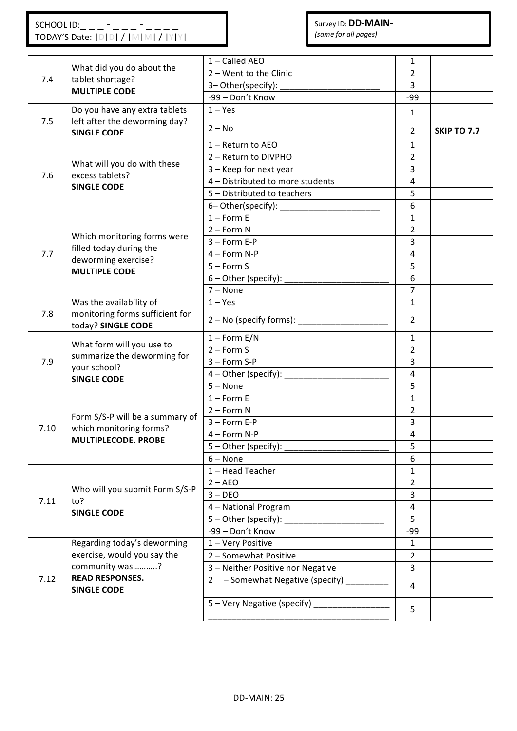|      |                                                                                                | 1 - Called AEO                        |                |                    |
|------|------------------------------------------------------------------------------------------------|---------------------------------------|----------------|--------------------|
| 7.4  | What did you do about the<br>tablet shortage?<br><b>MULTIPLE CODE</b>                          | 2 - Went to the Clinic                | 1              |                    |
|      |                                                                                                |                                       | 2<br>3         |                    |
|      |                                                                                                | 3-Other(specify):<br>-99 - Don't Know | $-99$          |                    |
|      |                                                                                                | $1 - Yes$                             |                |                    |
| 7.5  | Do you have any extra tablets<br>left after the deworming day?                                 |                                       | $\mathbf{1}$   |                    |
|      | <b>SINGLE CODE</b>                                                                             | $2 - No$                              | $\overline{2}$ | <b>SKIP TO 7.7</b> |
|      | What will you do with these<br>excess tablets?                                                 | 1 - Return to AEO                     | 1              |                    |
|      |                                                                                                | 2 - Return to DIVPHO                  | $\overline{2}$ |                    |
| 7.6  |                                                                                                | 3 - Keep for next year                | 3              |                    |
|      | <b>SINGLE CODE</b>                                                                             | 4 - Distributed to more students      | 4              |                    |
|      |                                                                                                | 5 - Distributed to teachers           | 5              |                    |
|      |                                                                                                | 6-Other(specify):                     | $\,6\,$        |                    |
|      |                                                                                                | $1 -$ Form E                          | 1              |                    |
|      | Which monitoring forms were                                                                    | $2 - Form N$                          | $\overline{2}$ |                    |
|      | filled today during the                                                                        | $3 - Form E-P$                        | 3              |                    |
| 7.7  | deworming exercise?                                                                            | $4 - Form N-P$                        | $\overline{4}$ |                    |
|      | <b>MULTIPLE CODE</b>                                                                           | $5 -$ Form S                          | 5              |                    |
|      |                                                                                                | 6 - Other (specify):                  | $6\,$          |                    |
|      |                                                                                                | $7 - None$                            | $\overline{7}$ |                    |
|      | Was the availability of<br>monitoring forms sufficient for<br>today? SINGLE CODE               | $1 - Yes$                             | $\mathbf{1}$   |                    |
| 7.8  |                                                                                                | $2 - No$ (specify forms):             | $\overline{2}$ |                    |
|      | What form will you use to<br>summarize the deworming for<br>your school?<br><b>SINGLE CODE</b> | $1 -$ Form E/N                        | $\mathbf{1}$   |                    |
|      |                                                                                                | $2 -$ Form S                          | $\overline{2}$ |                    |
| 7.9  |                                                                                                | $3 - Form S-P$                        | $\overline{3}$ |                    |
|      |                                                                                                | 4 - Other (specify):                  | $\overline{4}$ |                    |
|      |                                                                                                | $5 - None$                            | 5              |                    |
|      | Form S/S-P will be a summary of<br>which monitoring forms?<br><b>MULTIPLECODE. PROBE</b>       | $1 -$ Form E                          | $\mathbf{1}$   |                    |
|      |                                                                                                | $2 - Form N$                          | $\overline{2}$ |                    |
| 7.10 |                                                                                                | $3 - Form E-P$                        | 3              |                    |
|      |                                                                                                | 4 - Form N-P                          | $\overline{4}$ |                    |
|      |                                                                                                | $5 -$ Other (specify):                | 5              |                    |
|      |                                                                                                | $6 - None$                            | 6              |                    |
|      | Who will you submit Form S/S-P<br>to?<br><b>SINGLE CODE</b>                                    | 1 - Head Teacher                      | $\mathbf{1}$   |                    |
|      |                                                                                                | $2 - AEO$                             | $\overline{2}$ |                    |
| 7.11 |                                                                                                | $3 - DEO$                             | 3              |                    |
|      |                                                                                                | 4 - National Program                  | 4              |                    |
|      |                                                                                                | 5 - Other (specify):                  | 5              |                    |
|      |                                                                                                | -99 - Don't Know                      | $-99$          |                    |
| 7.12 | Regarding today's deworming                                                                    | 1 - Very Positive                     | 1              |                    |
|      | exercise, would you say the<br>community was?<br><b>READ RESPONSES.</b><br><b>SINGLE CODE</b>  | 2 - Somewhat Positive                 | $\overline{2}$ |                    |
|      |                                                                                                | 3 - Neither Positive nor Negative     | 3              |                    |
|      |                                                                                                | 2 - Somewhat Negative (specify)       | $\overline{4}$ |                    |
|      |                                                                                                | 5 - Very Negative (specify) ____      | 5              |                    |